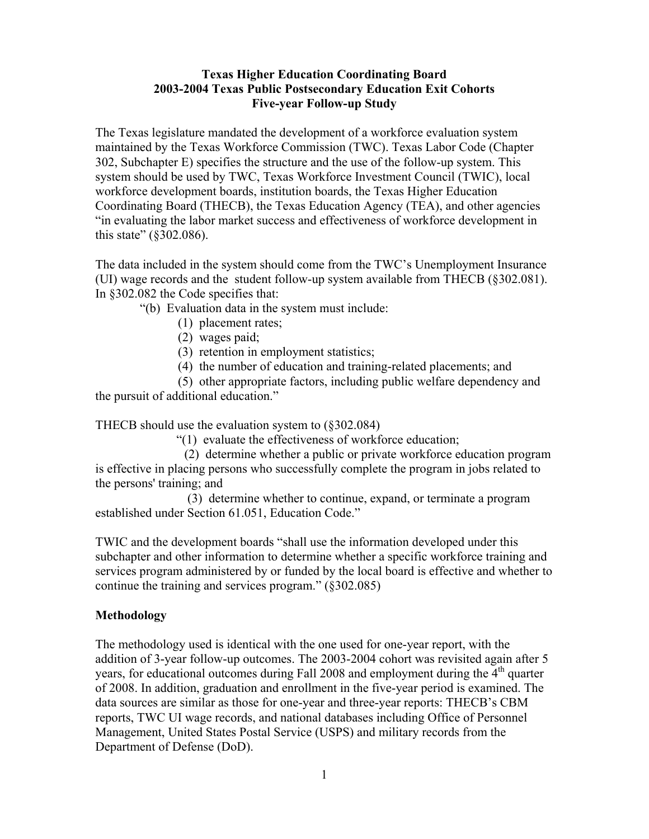# **Texas Higher Education Coordinating Board 2003-2004 Texas Public Postsecondary Education Exit Cohorts Five-year Follow-up Study**

The Texas legislature mandated the development of a workforce evaluation system maintained by the Texas Workforce Commission (TWC). Texas Labor Code (Chapter 302, Subchapter E) specifies the structure and the use of the follow-up system. This system should be used by TWC, Texas Workforce Investment Council (TWIC), local workforce development boards, institution boards, the Texas Higher Education Coordinating Board (THECB), the Texas Education Agency (TEA), and other agencies "in evaluating the labor market success and effectiveness of workforce development in this state" (§302.086).

The data included in the system should come from the TWC's Unemployment Insurance (UI) wage records and the student follow-up system available from THECB (§302.081). In §302.082 the Code specifies that:

"(b) Evaluation data in the system must include:

- (1) placement rates;
- (2) wages paid;
- (3) retention in employment statistics;
- (4) the number of education and training-related placements; and

(5) other appropriate factors, including public welfare dependency and the pursuit of additional education."

THECB should use the evaluation system to (§302.084)

"(1) evaluate the effectiveness of workforce education;

 (2) determine whether a public or private workforce education program is effective in placing persons who successfully complete the program in jobs related to the persons' training; and

 (3) determine whether to continue, expand, or terminate a program established under Section 61.051, Education Code."

TWIC and the development boards "shall use the information developed under this subchapter and other information to determine whether a specific workforce training and services program administered by or funded by the local board is effective and whether to continue the training and services program." (§302.085)

# **Methodology**

The methodology used is identical with the one used for one-year report, with the addition of 3-year follow-up outcomes. The 2003-2004 cohort was revisited again after 5 years, for educational outcomes during Fall 2008 and employment during the  $4<sup>th</sup>$  quarter of 2008. In addition, graduation and enrollment in the five-year period is examined. The data sources are similar as those for one-year and three-year reports: THECB's CBM reports, TWC UI wage records, and national databases including Office of Personnel Management, United States Postal Service (USPS) and military records from the Department of Defense (DoD).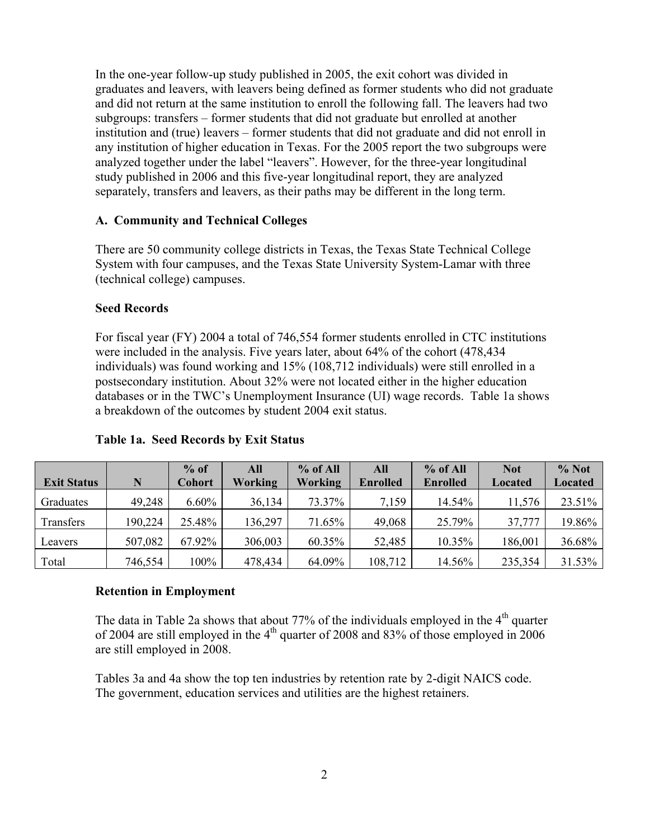In the one-year follow-up study published in 2005, the exit cohort was divided in graduates and leavers, with leavers being defined as former students who did not graduate and did not return at the same institution to enroll the following fall. The leavers had two subgroups: transfers – former students that did not graduate but enrolled at another institution and (true) leavers – former students that did not graduate and did not enroll in any institution of higher education in Texas. For the 2005 report the two subgroups were analyzed together under the label "leavers". However, for the three-year longitudinal study published in 2006 and this five-year longitudinal report, they are analyzed separately, transfers and leavers, as their paths may be different in the long term.

#### **A. Community and Technical Colleges**

There are 50 community college districts in Texas, the Texas State Technical College System with four campuses, and the Texas State University System-Lamar with three (technical college) campuses.

#### **Seed Records**

For fiscal year (FY) 2004 a total of 746,554 former students enrolled in CTC institutions were included in the analysis. Five years later, about 64% of the cohort (478,434 individuals) was found working and 15% (108,712 individuals) were still enrolled in a postsecondary institution. About 32% were not located either in the higher education databases or in the TWC's Unemployment Insurance (UI) wage records. Table 1a shows a breakdown of the outcomes by student 2004 exit status.

|                    |         | $%$ of        | All     | $%$ of All | All             | $%$ of All      | <b>Not</b>     | % Not          |
|--------------------|---------|---------------|---------|------------|-----------------|-----------------|----------------|----------------|
| <b>Exit Status</b> | N       | <b>Cohort</b> | Working | Working    | <b>Enrolled</b> | <b>Enrolled</b> | <b>Located</b> | <b>Located</b> |
| Graduates          | 49,248  | $6.60\%$      | 36,134  | 73.37%     | 7,159           | 14.54%          | 11,576         | 23.51%         |
| Transfers          | 190,224 | 25.48%        | 136,297 | 71.65%     | 49,068          | 25.79%          | 37,777         | 19.86%         |
| Leavers            | 507,082 | 67.92%        | 306,003 | 60.35%     | 52,485          | 10.35%          | 186,001        | 36.68%         |
| Total              | 746,554 | 100%          | 478,434 | 64.09%     | 108,712         | 14.56%          | 235,354        | 31.53%         |

#### **Table 1a. Seed Records by Exit Status**

#### **Retention in Employment**

The data in Table 2a shows that about  $77\%$  of the individuals employed in the  $4<sup>th</sup>$  quarter of 2004 are still employed in the  $4<sup>th</sup>$  quarter of 2008 and 83% of those employed in 2006 are still employed in 2008.

Tables 3a and 4a show the top ten industries by retention rate by 2-digit NAICS code. The government, education services and utilities are the highest retainers.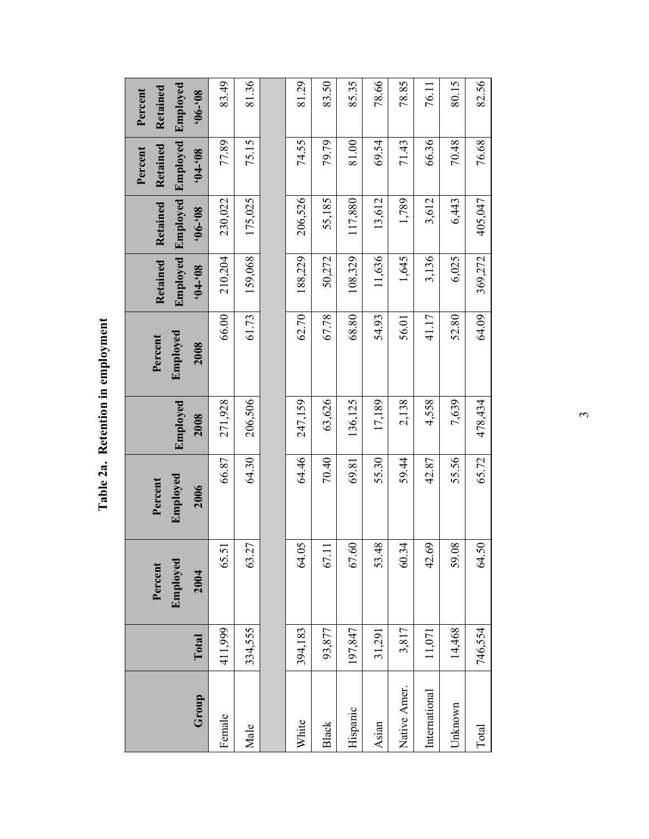Table 2a. Retention in employment **Table 2a. Retention in employment** 

| Group         | Total   | Employed<br>Percent<br>2004 | Employed<br>Percent<br>2006 | Employed<br>2008 | Emploved<br>Percent<br>2008 | Employed<br>Retained<br>$80,-10$ , | Employed<br>Retained<br>$80,-90$ | Employed<br>Retained<br>Percent<br>$80,-10$ | Employed<br>Retained<br>Percent<br>$80,-90,$ |
|---------------|---------|-----------------------------|-----------------------------|------------------|-----------------------------|------------------------------------|----------------------------------|---------------------------------------------|----------------------------------------------|
| Female        | 411,999 | 65.51                       | 66.87                       | 271,928          | 66.00                       | 210,204                            | 230,022                          | 77.89                                       | 83.49                                        |
| Male          | 334,555 | 63.27                       | 64.30                       | 206,506          | 61.73                       | 159,068                            | 175,025                          | 75.15                                       | 81.36                                        |
|               |         |                             |                             |                  |                             |                                    |                                  |                                             |                                              |
| White         | 394,183 | 64.05                       | 64.46                       | 247,159          | 62.70                       | 188,229                            | 206,526                          | 74.55                                       | 81.29                                        |
| <b>Black</b>  | 93,877  | 67.1                        | 70.40                       | 63,626           | 67.78                       | 50,272                             | 55,185                           | 79.79                                       | 83.50                                        |
| Hispanic      | 197,847 | 67.60                       | 69.81                       | 136,125          | 68.80                       | 108,329                            | 117,880                          | 81.00                                       | 85.35                                        |
| Asian         | 31,291  | 53.48                       | 55.30                       | 17,189           | 54.93                       | 11,636                             | 13,612                           | 69.54                                       | 78.66                                        |
| Native Amer.  | 3,817   | 60.34                       | 59.44                       | 2,138            | 56.01                       | 1,645                              | 1,789                            | 71.43                                       | 78.85                                        |
| International | 11,071  | 42.69                       | 42.87                       | 4,558            | 41.17                       | 3,136                              | 3,612                            | 66.36                                       | 76.11                                        |
| Jnknown       | 14,468  | 59.08                       | 55.56                       | 7,639            | 52.80                       | 6,025                              | 6,443                            | 70.48                                       | 80.15                                        |
| Total         | 746,554 | 64.50                       | 65.72                       | 478,434          | 64.09                       | 369,272                            | 405,047                          | 76.68                                       | 82.56                                        |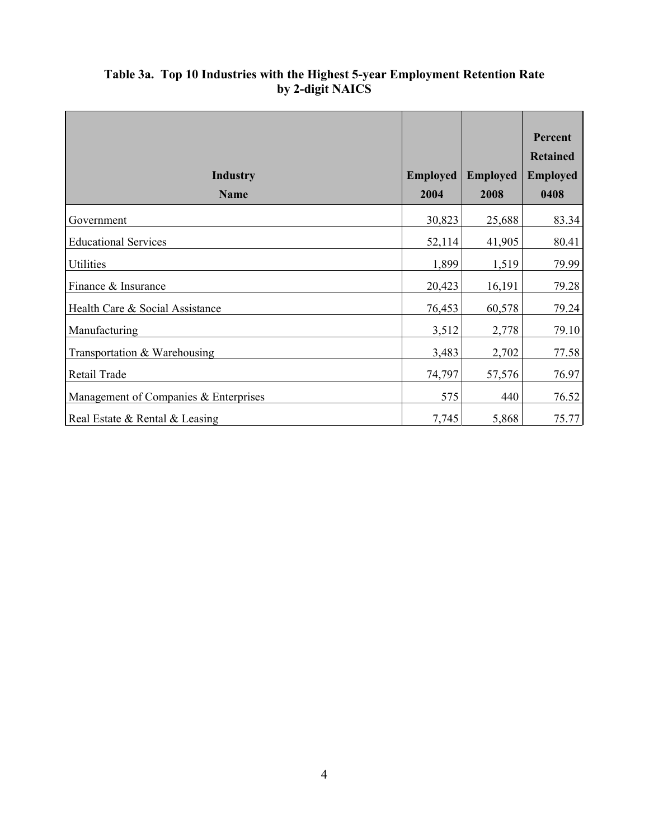|                                       |                 |                 | Percent<br><b>Retained</b> |
|---------------------------------------|-----------------|-----------------|----------------------------|
| <b>Industry</b>                       | <b>Employed</b> | <b>Employed</b> | <b>Employed</b>            |
| <b>Name</b>                           | 2004            | 2008            | 0408                       |
| Government                            | 30,823          | 25,688          | 83.34                      |
| <b>Educational Services</b>           | 52,114          | 41,905          | 80.41                      |
| Utilities                             | 1,899           | 1,519           | 79.99                      |
| Finance & Insurance                   | 20,423          | 16,191          | 79.28                      |
| Health Care & Social Assistance       | 76,453          | 60,578          | 79.24                      |
| Manufacturing                         | 3,512           | 2,778           | 79.10                      |
| Transportation & Warehousing          | 3,483           | 2,702           | 77.58                      |
| Retail Trade                          | 74,797          | 57,576          | 76.97                      |
| Management of Companies & Enterprises | 575             | 440             | 76.52                      |
| Real Estate & Rental & Leasing        | 7,745           | 5,868           | 75.77                      |

# **Table 3a. Top 10 Industries with the Highest 5-year Employment Retention Rate by 2-digit NAICS**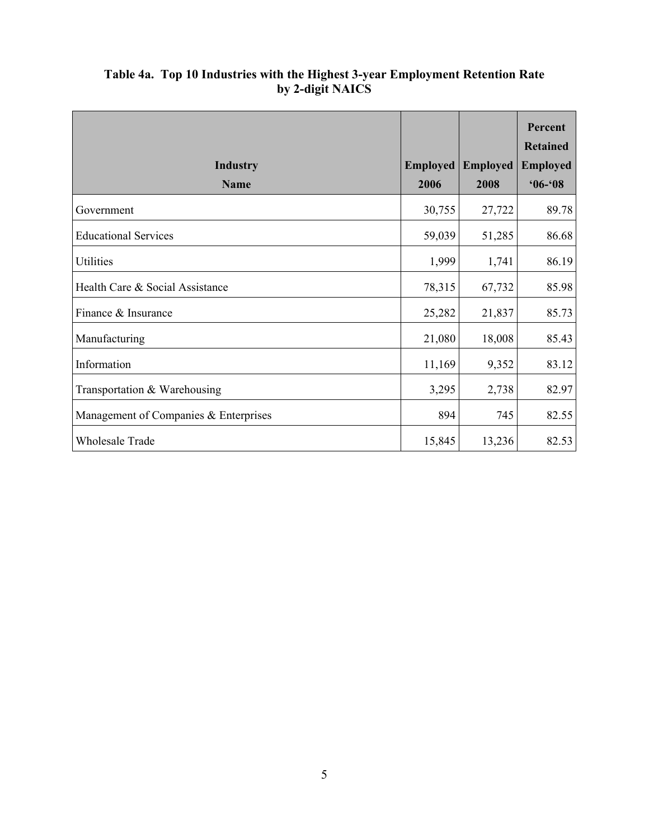|                                       |                 |                 | Percent<br><b>Retained</b> |
|---------------------------------------|-----------------|-----------------|----------------------------|
| <b>Industry</b>                       | <b>Employed</b> | <b>Employed</b> | <b>Employed</b>            |
| <b>Name</b>                           | 2006            | 2008            | $06 - 08$                  |
| Government                            | 30,755          | 27,722          | 89.78                      |
| <b>Educational Services</b>           | 59,039          | 51,285          | 86.68                      |
| Utilities                             | 1,999           | 1,741           | 86.19                      |
| Health Care & Social Assistance       | 78,315          | 67,732          | 85.98                      |
| Finance & Insurance                   | 25,282          | 21,837          | 85.73                      |
| Manufacturing                         | 21,080          | 18,008          | 85.43                      |
| Information                           | 11,169          | 9,352           | 83.12                      |
| Transportation & Warehousing          | 3,295           | 2,738           | 82.97                      |
| Management of Companies & Enterprises | 894             | 745             | 82.55                      |
| <b>Wholesale Trade</b>                | 15,845          | 13,236          | 82.53                      |

# **Table 4a. Top 10 Industries with the Highest 3-year Employment Retention Rate by 2-digit NAICS**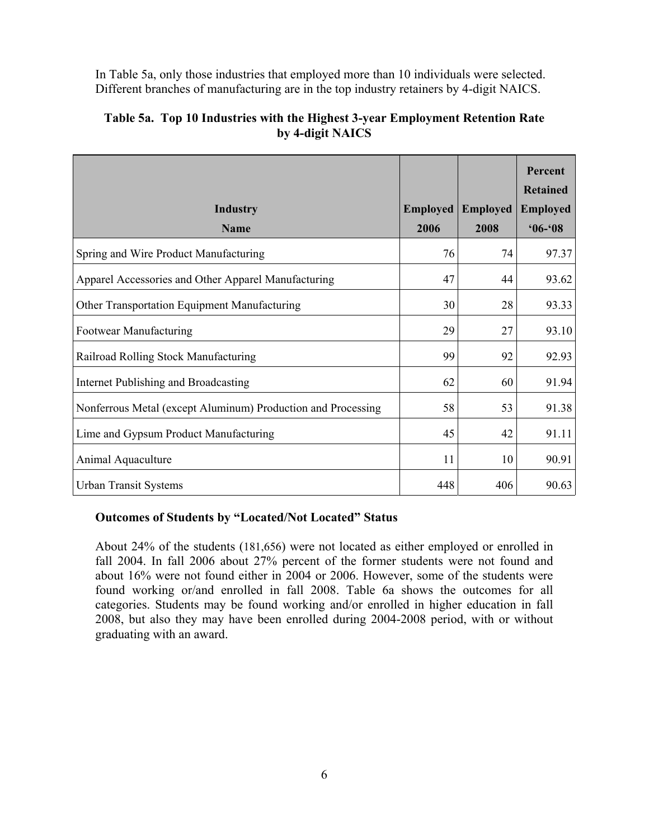In Table 5a, only those industries that employed more than 10 individuals were selected. Different branches of manufacturing are in the top industry retainers by 4-digit NAICS.

|                                                              |                 |                 | Percent<br><b>Retained</b> |
|--------------------------------------------------------------|-----------------|-----------------|----------------------------|
| <b>Industry</b>                                              | <b>Employed</b> | <b>Employed</b> | <b>Employed</b>            |
| <b>Name</b>                                                  | 2006            | 2008            | $06 - 08$                  |
| Spring and Wire Product Manufacturing                        | 76              | 74              | 97.37                      |
| Apparel Accessories and Other Apparel Manufacturing          | 47              | 44              | 93.62                      |
| Other Transportation Equipment Manufacturing                 | 30              | 28              | 93.33                      |
| Footwear Manufacturing                                       | 29              | 27              | 93.10                      |
| Railroad Rolling Stock Manufacturing                         | 99              | 92              | 92.93                      |
| Internet Publishing and Broadcasting                         | 62              | 60              | 91.94                      |
| Nonferrous Metal (except Aluminum) Production and Processing | 58              | 53              | 91.38                      |
| Lime and Gypsum Product Manufacturing                        | 45              | 42              | 91.11                      |
| Animal Aquaculture                                           | 11              | 10              | 90.91                      |
| <b>Urban Transit Systems</b>                                 | 448             | 406             | 90.63                      |

# **Table 5a. Top 10 Industries with the Highest 3-year Employment Retention Rate by 4-digit NAICS**

#### **Outcomes of Students by "Located/Not Located" Status**

About 24% of the students (181,656) were not located as either employed or enrolled in fall 2004. In fall 2006 about 27% percent of the former students were not found and about 16% were not found either in 2004 or 2006. However, some of the students were found working or/and enrolled in fall 2008. Table 6a shows the outcomes for all categories. Students may be found working and/or enrolled in higher education in fall 2008, but also they may have been enrolled during 2004-2008 period, with or without graduating with an award.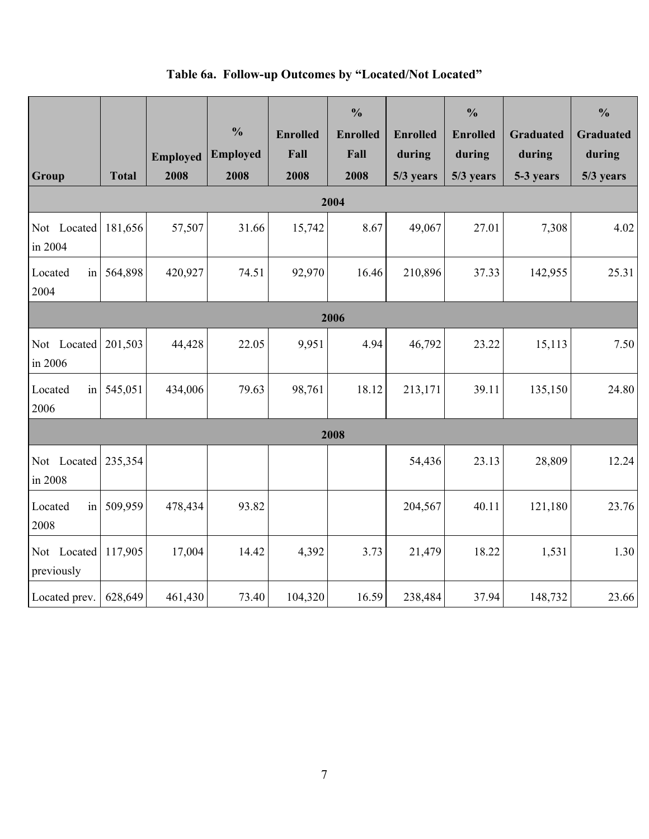# **Table 6a. Follow-up Outcomes by "Located/Not Located"**

| Group                     | <b>Total</b> | <b>Employed</b><br>2008 | $\frac{0}{0}$<br><b>Employed</b><br>2008 | <b>Enrolled</b><br>Fall<br>2008 | $\frac{0}{0}$<br><b>Enrolled</b><br>Fall<br>2008 | <b>Enrolled</b><br>during<br>5/3 years | $\frac{0}{0}$<br><b>Enrolled</b><br>during<br>5/3 years | <b>Graduated</b><br>during<br>5-3 years | $\frac{0}{0}$<br><b>Graduated</b><br>during<br>5/3 years |
|---------------------------|--------------|-------------------------|------------------------------------------|---------------------------------|--------------------------------------------------|----------------------------------------|---------------------------------------------------------|-----------------------------------------|----------------------------------------------------------|
|                           |              |                         |                                          |                                 | 2004                                             |                                        |                                                         |                                         |                                                          |
| Not Located<br>in 2004    | 181,656      | 57,507                  | 31.66                                    | 15,742                          | 8.67                                             | 49,067                                 | 27.01                                                   | 7,308                                   | 4.02                                                     |
| Located<br>in<br>2004     | 564,898      | 420,927                 | 74.51                                    | 92,970                          | 16.46                                            | 210,896                                | 37.33                                                   | 142,955                                 | 25.31                                                    |
| 2006                      |              |                         |                                          |                                 |                                                  |                                        |                                                         |                                         |                                                          |
| Not Located<br>in 2006    | 201,503      | 44,428                  | 22.05                                    | 9,951                           | 4.94                                             | 46,792                                 | 23.22                                                   | 15,113                                  | 7.50                                                     |
| Located<br>in<br>2006     | 545,051      | 434,006                 | 79.63                                    | 98,761                          | 18.12                                            | 213,171                                | 39.11                                                   | 135,150                                 | 24.80                                                    |
|                           |              |                         |                                          |                                 | 2008                                             |                                        |                                                         |                                         |                                                          |
| Not Located<br>in 2008    | 235,354      |                         |                                          |                                 |                                                  | 54,436                                 | 23.13                                                   | 28,809                                  | 12.24                                                    |
| Located<br>in<br>2008     | 509,959      | 478,434                 | 93.82                                    |                                 |                                                  | 204,567                                | 40.11                                                   | 121,180                                 | 23.76                                                    |
| Not Located<br>previously | 117,905      | 17,004                  | 14.42                                    | 4,392                           | 3.73                                             | 21,479                                 | 18.22                                                   | 1,531                                   | 1.30                                                     |
| Located prev.             | 628,649      | 461,430                 | 73.40                                    | 104,320                         | 16.59                                            | 238,484                                | 37.94                                                   | 148,732                                 | 23.66                                                    |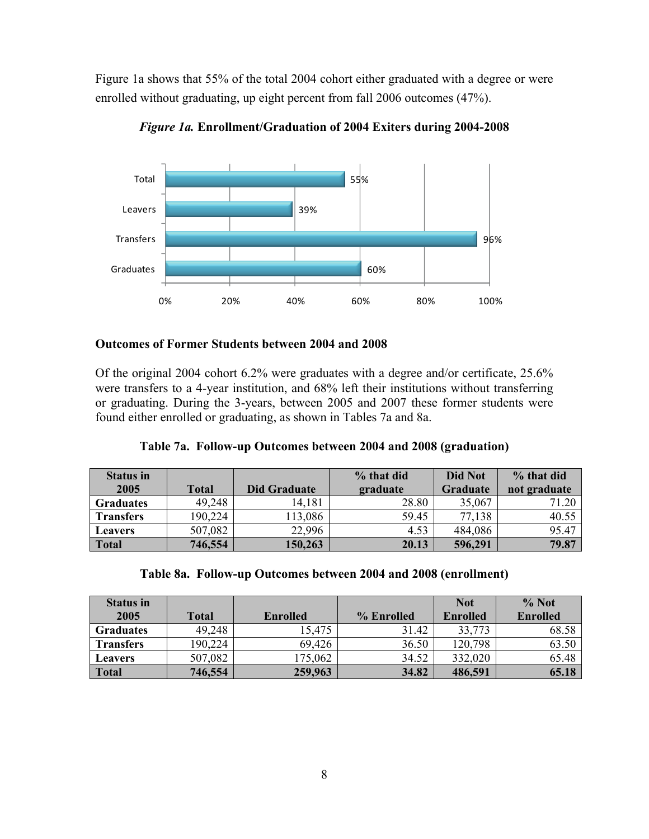Figure 1a shows that 55% of the total 2004 cohort either graduated with a degree or were enrolled without graduating, up eight percent from fall 2006 outcomes (47%).



*Figure 1a.* **Enrollment/Graduation of 2004 Exiters during 2004-2008** 

#### **Outcomes of Former Students between 2004 and 2008**

Of the original 2004 cohort 6.2% were graduates with a degree and/or certificate, 25.6% were transfers to a 4-year institution, and 68% left their institutions without transferring or graduating. During the 3-years, between 2005 and 2007 these former students were found either enrolled or graduating, as shown in Tables 7a and 8a.

**Table 7a. Follow-up Outcomes between 2004 and 2008 (graduation)** 

| <b>Status in</b> |              |                     | % that did | Did Not         | % that did   |
|------------------|--------------|---------------------|------------|-----------------|--------------|
| 2005             | <b>Total</b> | <b>Did Graduate</b> | graduate   | <b>Graduate</b> | not graduate |
| <b>Graduates</b> | 49,248       | 14,181              | 28.80      | 35,067          | 71.20        |
| <b>Transfers</b> | 190,224      | 113,086             | 59.45      | 77,138          | 40.55        |
| <b>Leavers</b>   | 507,082      | 22.996              | 4.53       | 484,086         | 95.47        |
| <b>Total</b>     | 746,554      | 150,263             | 20.13      | 596,291         | 79.87        |

|  |  |  |  |  |  | Table 8a. Follow-up Outcomes between 2004 and 2008 (enrollment) |
|--|--|--|--|--|--|-----------------------------------------------------------------|
|--|--|--|--|--|--|-----------------------------------------------------------------|

| <b>Status in</b> |              |                 |            | <b>Not</b>      | $\%$ Not        |
|------------------|--------------|-----------------|------------|-----------------|-----------------|
| 2005             | <b>Total</b> | <b>Enrolled</b> | % Enrolled | <b>Enrolled</b> | <b>Enrolled</b> |
| <b>Graduates</b> | 49,248       | 15,475          | 31.42      | 33,773          | 68.58           |
| <b>Transfers</b> | 190,224      | 69,426          | 36.50      | 120,798         | 63.50           |
| <b>Leavers</b>   | 507,082      | 175,062         | 34.52      | 332,020         | 65.48           |
| <b>Total</b>     | 746,554      | 259,963         | 34.82      | 486,591         | 65.18           |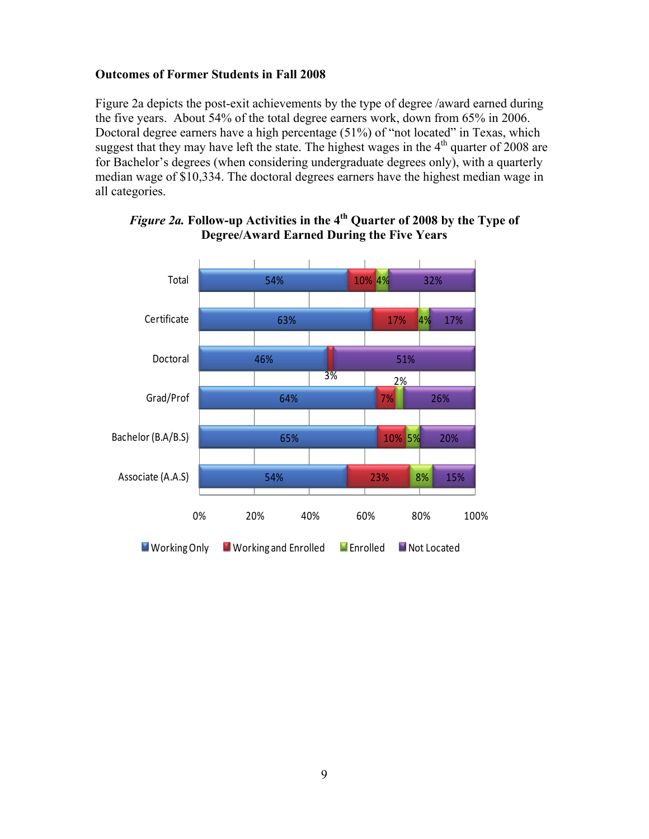#### **Outcomes of Former Students in Fall 2008**

Figure 2a depicts the post-exit achievements by the type of degree /award earned during the five years. About 54% of the total degree earners work, down from 65% in 2006. Doctoral degree earners have a high percentage (51%) of "not located" in Texas, which suggest that they may have left the state. The highest wages in the  $4<sup>th</sup>$  quarter of 2008 are for Bachelor's degrees (when considering undergraduate degrees only), with a quarterly median wage of \$10,334. The doctoral degrees earners have the highest median wage in all categories.



# *Figure 2a.* **Follow-up Activities in the 4th Quarter of 2008 by the Type of Degree/Award Earned During the Five Years**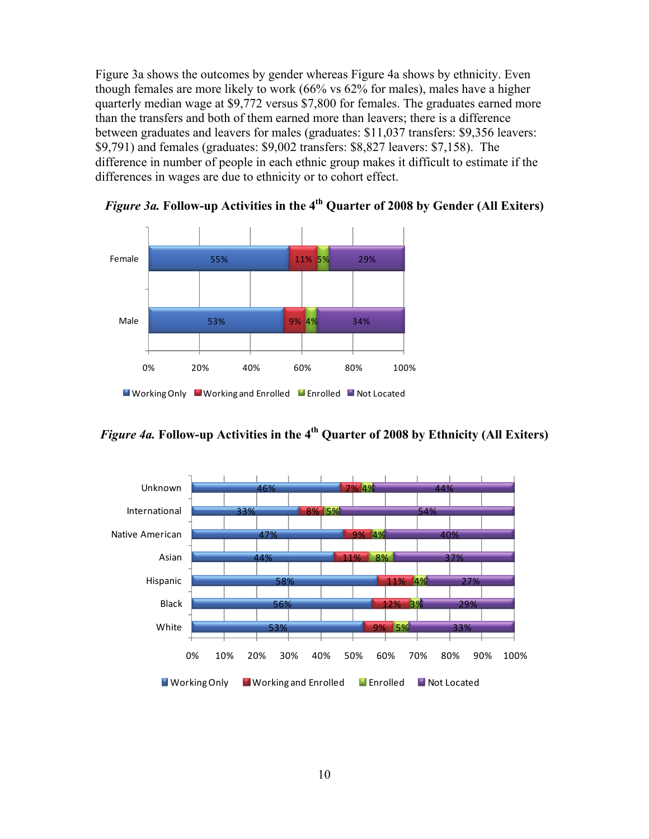Figure 3a shows the outcomes by gender whereas Figure 4a shows by ethnicity. Even though females are more likely to work (66% vs 62% for males), males have a higher quarterly median wage at \$9,772 versus \$7,800 for females. The graduates earned more than the transfers and both of them earned more than leavers; there is a difference between graduates and leavers for males (graduates: \$11,037 transfers: \$9,356 leavers: \$9,791) and females (graduates: \$9,002 transfers: \$8,827 leavers: \$7,158). The difference in number of people in each ethnic group makes it difficult to estimate if the differences in wages are due to ethnicity or to cohort effect.



*Figure 3a.* **Follow-up Activities in the 4th Quarter of 2008 by Gender (All Exiters)** 



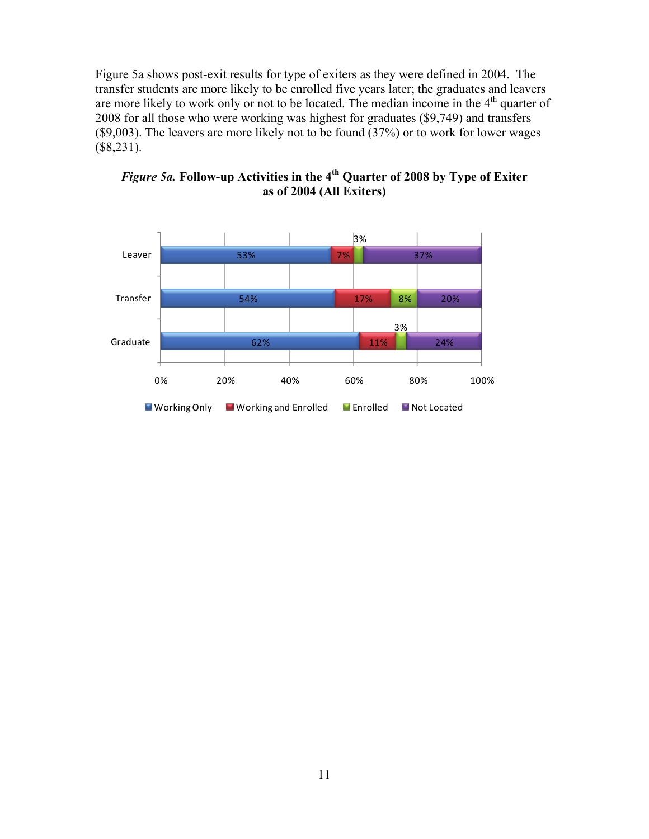Figure 5a shows post-exit results for type of exiters as they were defined in 2004. The transfer students are more likely to be enrolled five years later; the graduates and leavers are more likely to work only or not to be located. The median income in the 4<sup>th</sup> quarter of 2008 for all those who were working was highest for graduates (\$9,749) and transfers (\$9,003). The leavers are more likely not to be found (37%) or to work for lower wages (\$8,231).



*Figure 5a.* **Follow-up Activities in the 4th Quarter of 2008 by Type of Exiter as of 2004 (All Exiters)**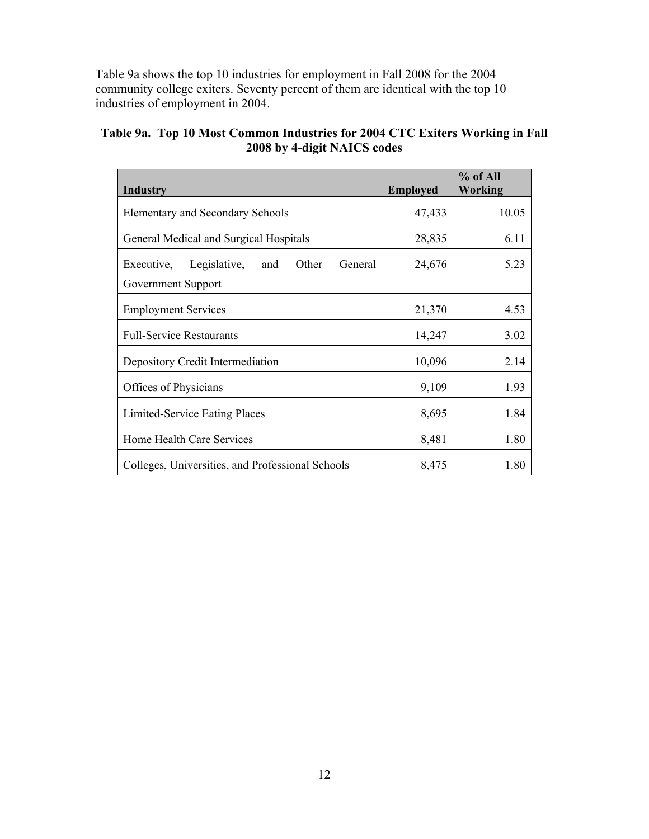Table 9a shows the top 10 industries for employment in Fall 2008 for the 2004 community college exiters. Seventy percent of them are identical with the top 10 industries of employment in 2004.

| Table 9a. Top 10 Most Common Industries for 2004 CTC Exiters Working in Fall |
|------------------------------------------------------------------------------|
| 2008 by 4-digit NAICS codes                                                  |

| Industry                                              | <b>Employed</b> | % of All<br>Working |
|-------------------------------------------------------|-----------------|---------------------|
| <b>Elementary and Secondary Schools</b>               | 47,433          | 10.05               |
| General Medical and Surgical Hospitals                | 28,835          | 6.11                |
| Legislative,<br>Other<br>Executive,<br>General<br>and | 24,676          | 5.23                |
| Government Support                                    |                 |                     |
| <b>Employment Services</b>                            | 21,370          | 4.53                |
| <b>Full-Service Restaurants</b>                       | 14,247          | 3.02                |
| Depository Credit Intermediation                      | 10,096          | 2.14                |
| Offices of Physicians                                 | 9,109           | 1.93                |
| Limited-Service Eating Places                         | 8,695           | 1.84                |
| Home Health Care Services                             | 8,481           | 1.80                |
| Colleges, Universities, and Professional Schools      | 8,475           | 1.80                |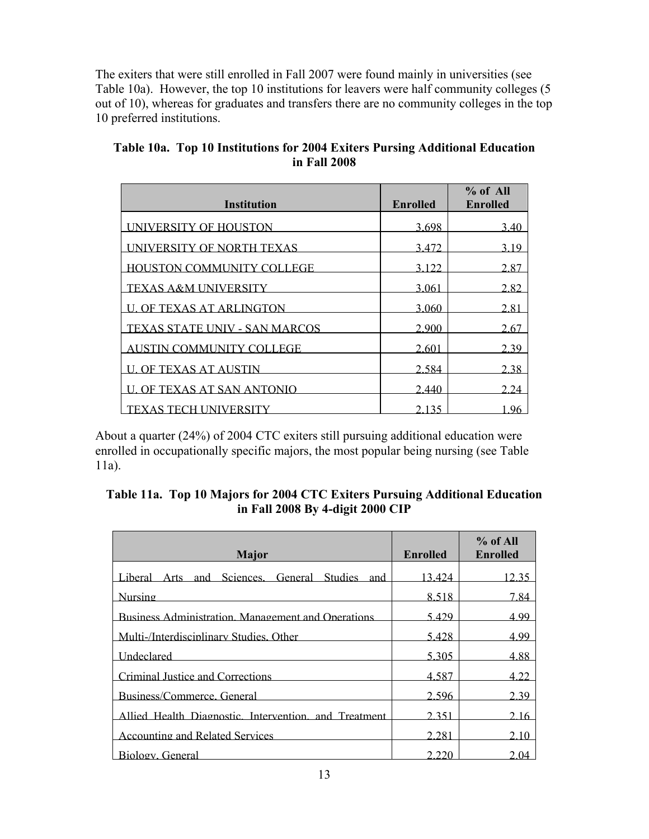The exiters that were still enrolled in Fall 2007 were found mainly in universities (see Table 10a). However, the top 10 institutions for leavers were half community colleges (5 out of 10), whereas for graduates and transfers there are no community colleges in the top 10 preferred institutions.

| <b>Institution</b>               | <b>Enrolled</b> | % of All<br><b>Enrolled</b> |
|----------------------------------|-----------------|-----------------------------|
| <b>INIVERSITY OF HOUSTON</b>     | 3.698           | 3.40                        |
| <b>INIVERSITY OF NORTH TEXAS</b> | 3472            | 3 19                        |
| HOUSTON COMMUNITY COLLEGE        | 3.122           | 2.87                        |
| <b>TEXAS A&amp;M UNIVERSITY</b>  | 3.061           | 2.82                        |
| <b>U. OF TEXAS AT ARLINGTON</b>  | 3.060           | 2.81                        |
| TEXAS STATE UNIV - SAN MARCOS    | 2.900           | 2.67                        |
| AUSTIN COMMUNITY COLLEGE         | 2.601           | 2.39                        |
| <b>U. OF TEXAS AT AUSTIN</b>     | 2.584           | 2.38                        |
| OF TEXAS AT SAN ANTONIO          | 2.440           | 2 24                        |
| TEXAS TECH UNIVERSITY            | 2 1 3 5         | .96                         |

**Table 10a. Top 10 Institutions for 2004 Exiters Pursing Additional Education in Fall 2008** 

About a quarter (24%) of 2004 CTC exiters still pursuing additional education were enrolled in occupationally specific majors, the most popular being nursing (see Table 11a).

| Table 11a. Top 10 Majors for 2004 CTC Exiters Pursuing Additional Education |
|-----------------------------------------------------------------------------|
| in Fall 2008 By 4-digit 2000 CIP                                            |

| <b>Major</b>                                              | Enrolled | $%$ of All<br><b>Enrolled</b> |
|-----------------------------------------------------------|----------|-------------------------------|
| Liberal Arts and Sciences. General Studies and            | 13.424   | 12 35                         |
| <b>Nursing</b>                                            | 8.518    | 7.84                          |
| <b>Business Administration. Management and Operations</b> | 5.429    | 499                           |
| Multi-/Interdisciplinary Studies Other                    | 5428     | 4 9 9                         |
| <b>Undeclared</b>                                         | 5 305    | 488                           |
| Criminal Justice and Corrections                          | 4.587    | 4 2 2                         |
| Business/Commerce, General                                | 2.596    | 2 3 9                         |
| Allied Health Diagnostic. Intervention, and Treatment     | 2 3 5 1  | 2.16                          |
| <b>Accounting and Related Services</b>                    | 2.281    | 2.10                          |
| Biology General                                           | ว ววเ    | 04                            |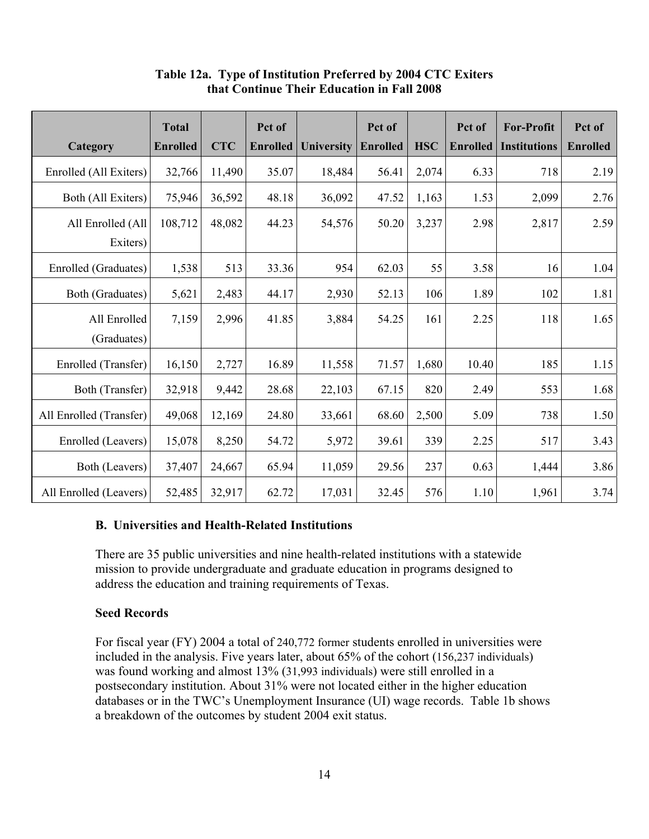|                         | <b>Total</b>    |            | Pct of   |                   | Pct of          |            | Pct of          | <b>For-Profit</b>   | Pct of          |
|-------------------------|-----------------|------------|----------|-------------------|-----------------|------------|-----------------|---------------------|-----------------|
| Category                | <b>Enrolled</b> | <b>CTC</b> | Enrolled | <b>University</b> | <b>Enrolled</b> | <b>HSC</b> | <b>Enrolled</b> | <b>Institutions</b> | <b>Enrolled</b> |
| Enrolled (All Exiters)  | 32,766          | 11,490     | 35.07    | 18,484            | 56.41           | 2,074      | 6.33            | 718                 | 2.19            |
| Both (All Exiters)      | 75,946          | 36,592     | 48.18    | 36,092            | 47.52           | 1,163      | 1.53            | 2,099               | 2.76            |
| All Enrolled (All       | 108,712         | 48,082     | 44.23    | 54,576            | 50.20           | 3,237      | 2.98            | 2,817               | 2.59            |
| Exiters)                |                 |            |          |                   |                 |            |                 |                     |                 |
| Enrolled (Graduates)    | 1,538           | 513        | 33.36    | 954               | 62.03           | 55         | 3.58            | 16                  | 1.04            |
| Both (Graduates)        | 5,621           | 2,483      | 44.17    | 2,930             | 52.13           | 106        | 1.89            | 102                 | 1.81            |
| All Enrolled            | 7,159           | 2,996      | 41.85    | 3,884             | 54.25           | 161        | 2.25            | 118                 | 1.65            |
| (Graduates)             |                 |            |          |                   |                 |            |                 |                     |                 |
| Enrolled (Transfer)     | 16,150          | 2,727      | 16.89    | 11,558            | 71.57           | 1,680      | 10.40           | 185                 | 1.15            |
| Both (Transfer)         | 32,918          | 9,442      | 28.68    | 22,103            | 67.15           | 820        | 2.49            | 553                 | 1.68            |
| All Enrolled (Transfer) | 49,068          | 12,169     | 24.80    | 33,661            | 68.60           | 2,500      | 5.09            | 738                 | 1.50            |
| Enrolled (Leavers)      | 15,078          | 8,250      | 54.72    | 5,972             | 39.61           | 339        | 2.25            | 517                 | 3.43            |
| Both (Leavers)          | 37,407          | 24,667     | 65.94    | 11,059            | 29.56           | 237        | 0.63            | 1,444               | 3.86            |
| All Enrolled (Leavers)  | 52,485          | 32,917     | 62.72    | 17,031            | 32.45           | 576        | 1.10            | 1,961               | 3.74            |

# **Table 12a. Type of Institution Preferred by 2004 CTC Exiters that Continue Their Education in Fall 2008**

# **B. Universities and Health-Related Institutions**

There are 35 public universities and nine health-related institutions with a statewide mission to provide undergraduate and graduate education in programs designed to address the education and training requirements of Texas.

# **Seed Records**

For fiscal year (FY) 2004 a total of 240,772 former students enrolled in universities were included in the analysis. Five years later, about 65% of the cohort (156,237 individuals) was found working and almost 13% (31,993 individuals) were still enrolled in a postsecondary institution. About 31% were not located either in the higher education databases or in the TWC's Unemployment Insurance (UI) wage records. Table 1b shows a breakdown of the outcomes by student 2004 exit status.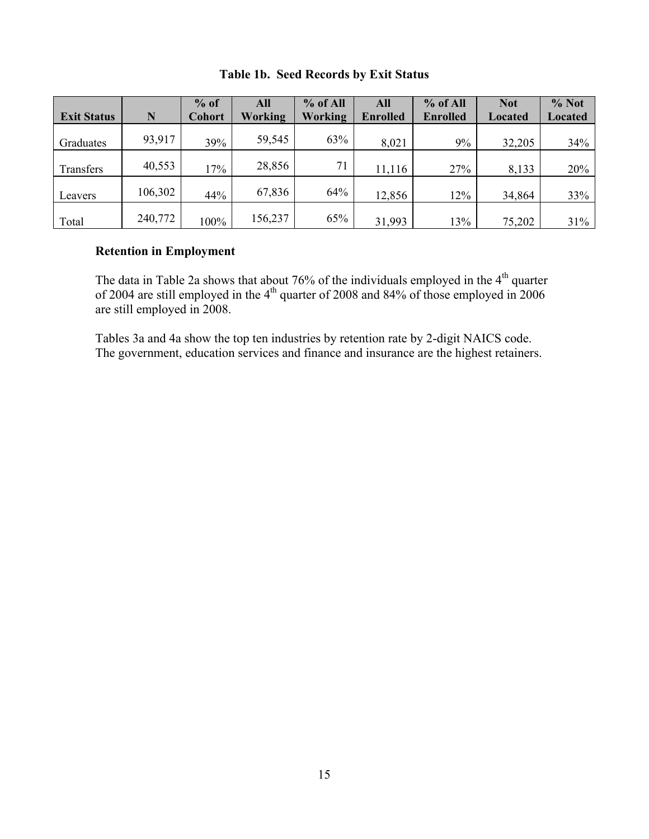|                    |         | $%$ of        | All            | % of All | All             | $%$ of All      | <b>Not</b> | % Not          |
|--------------------|---------|---------------|----------------|----------|-----------------|-----------------|------------|----------------|
| <b>Exit Status</b> | N       | <b>Cohort</b> | <b>Working</b> | Working  | <b>Enrolled</b> | <b>Enrolled</b> | Located    | <b>Located</b> |
| Graduates          | 93,917  | 39%           | 59,545         | 63%      | 8,021           | 9%              | 32,205     | 34%            |
| Transfers          | 40,553  | 17%           | 28,856         | 71       | 11,116          | 27%             | 8,133      | 20%            |
| Leavers            | 106,302 | 44%           | 67,836         | 64%      | 12,856          | 12%             | 34,864     | 33%            |
| Total              | 240,772 | 100%          | 156,237        | 65%      | 31,993          | 13%             | 75,202     | 31%            |

# **Table 1b. Seed Records by Exit Status**

#### **Retention in Employment**

The data in Table 2a shows that about 76% of the individuals employed in the  $4<sup>th</sup>$  quarter of 2004 are still employed in the  $4<sup>th</sup>$  quarter of 2008 and 84% of those employed in 2006 are still employed in 2008.

Tables 3a and 4a show the top ten industries by retention rate by 2-digit NAICS code. The government, education services and finance and insurance are the highest retainers.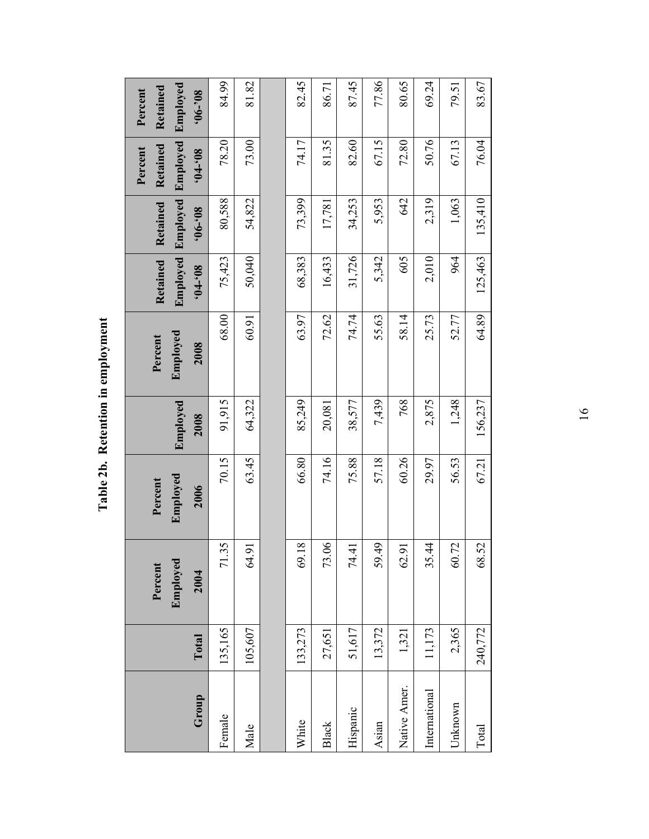| $\sim$ $\sim$ $\sim$<br>ì |
|---------------------------|
| I                         |
| rantin<br>p               |
| 2b.<br>2<br>É             |

| Group         | Total   | Employed<br>Percent<br>2004 | $\bf Employed$<br>Percent<br>2006 | Employed<br>2008 | ${\bf Emplo}\bf{yed}$<br>Percent<br>2008 | Employed<br>Retained<br>$80,-10$ , | Employed<br>Retained<br>$80,-90,$ | Employed<br>Retained<br>Percent<br>$80,-10$ , | Employed<br>Retained<br>Percent<br>$80.-90$ |
|---------------|---------|-----------------------------|-----------------------------------|------------------|------------------------------------------|------------------------------------|-----------------------------------|-----------------------------------------------|---------------------------------------------|
| Female        | 135,165 | 71.35                       | 70.15                             | 91,915           | 68.00                                    | 75,423                             | 80,588                            | 78.20                                         | 84.99                                       |
| Male          | 105,607 | 64.91                       | 63.45                             | 64,322           | 60.91                                    | 50,040                             | 54,822                            | 73.00                                         | 81.82                                       |
|               |         |                             |                                   |                  |                                          |                                    |                                   |                                               |                                             |
| White         | 133,273 | 69.18                       | 66.80                             | 85,249           | 63.97                                    | 68,383                             | 73,399                            | 74.17                                         | 82.45                                       |
| <b>Black</b>  | 27,651  | 73.06                       | 74.16                             | 20,081           | 72.62                                    | 16,433                             | 17,781                            | 81.35                                         | 86.71                                       |
| Hispanic      | 51,617  | 74.41                       | 75.88                             | 38,577           | 74.74                                    | 31,726                             | 34,253                            | 82.60                                         | 87.45                                       |
| Asian         | 13,372  | 59.49                       | 57.18                             | 7,439            | 55.63                                    | 5,342                              | 5,953                             | 67.15                                         | 77.86                                       |
| Native Amer.  | 1,321   | 62.91                       | 60.26                             | 768              | 58.14                                    | 605                                | 642                               | 72.80                                         | 80.65                                       |
| International | 11,173  | 35.44                       | 29.97                             | 2,875            | 25.73                                    | 2,010                              | 2,319                             | 50.76                                         | 69.24                                       |
| Unknown       | 2,365   | 60.72                       | 56.53                             | 1,248            | 52.77                                    | 964                                | 1,063                             | 67.13                                         | 79.51                                       |
| Total         | 240,772 | 68.52                       | 67.21                             | 156,237          | 64.89                                    | 125,463                            | 135,410                           | 76.04                                         | 83.67                                       |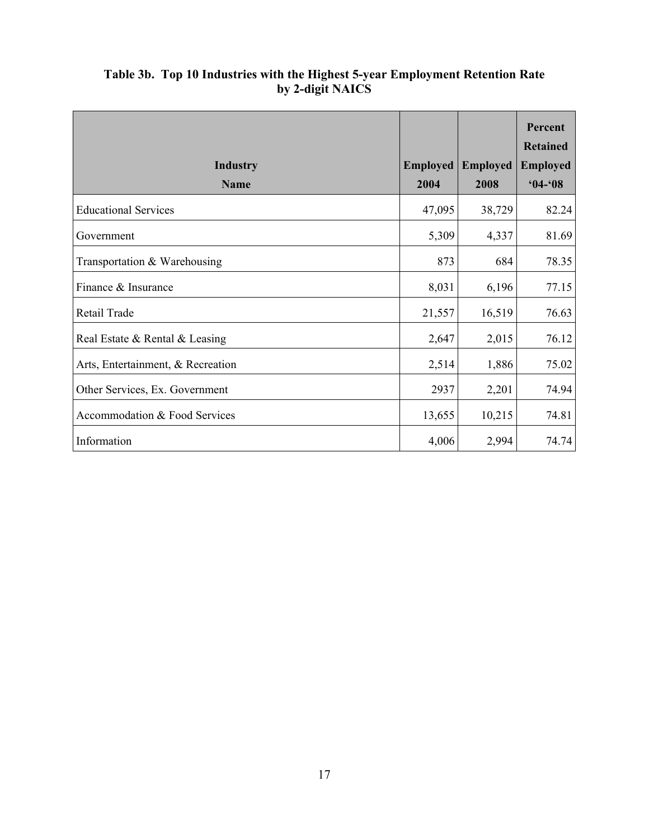|                                   |                 |                 | Percent<br><b>Retained</b> |
|-----------------------------------|-----------------|-----------------|----------------------------|
| <b>Industry</b>                   | <b>Employed</b> | <b>Employed</b> | <b>Employed</b>            |
| <b>Name</b>                       | 2004            | 2008            | $04 - 08$                  |
| <b>Educational Services</b>       | 47,095          | 38,729          | 82.24                      |
| Government                        | 5,309           | 4,337           | 81.69                      |
| Transportation & Warehousing      | 873             | 684             | 78.35                      |
| Finance & Insurance               | 8,031           | 6,196           | 77.15                      |
| Retail Trade                      | 21,557          | 16,519          | 76.63                      |
| Real Estate & Rental & Leasing    | 2,647           | 2,015           | 76.12                      |
| Arts, Entertainment, & Recreation | 2,514           | 1,886           | 75.02                      |
| Other Services, Ex. Government    | 2937            | 2,201           | 74.94                      |
| Accommodation & Food Services     | 13,655          | 10,215          | 74.81                      |
| Information                       | 4,006           | 2,994           | 74.74                      |

# **Table 3b. Top 10 Industries with the Highest 5-year Employment Retention Rate by 2-digit NAICS**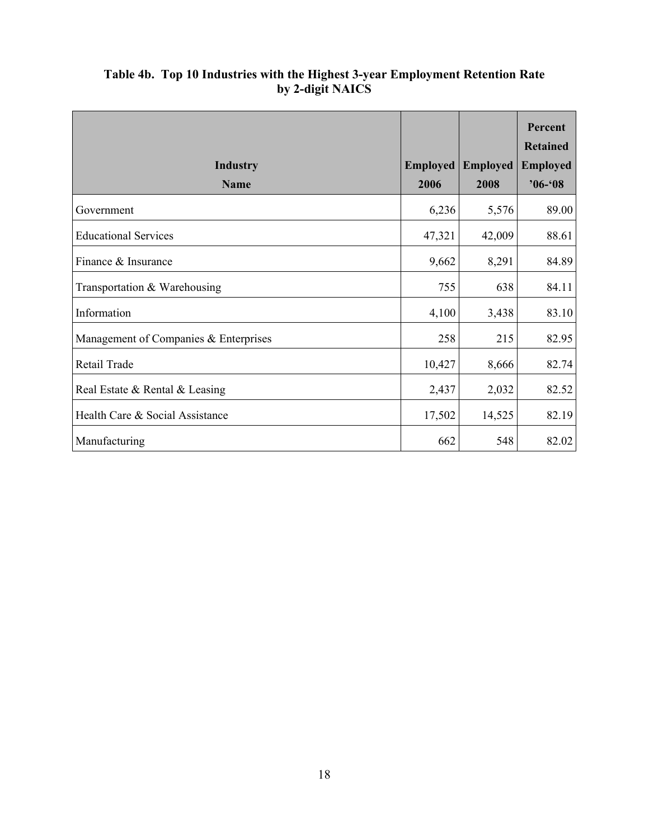|                                       |                 |                 | Percent<br><b>Retained</b> |
|---------------------------------------|-----------------|-----------------|----------------------------|
| <b>Industry</b>                       | <b>Employed</b> | <b>Employed</b> | <b>Employed</b>            |
| <b>Name</b>                           | 2006            | 2008            | $96 - 08$                  |
| Government                            | 6,236           | 5,576           | 89.00                      |
| <b>Educational Services</b>           | 47,321          | 42,009          | 88.61                      |
| Finance & Insurance                   | 9,662           | 8,291           | 84.89                      |
| Transportation & Warehousing          | 755             | 638             | 84.11                      |
| Information                           | 4,100           | 3,438           | 83.10                      |
| Management of Companies & Enterprises | 258             | 215             | 82.95                      |
| Retail Trade                          | 10,427          | 8,666           | 82.74                      |
| Real Estate & Rental & Leasing        | 2,437           | 2,032           | 82.52                      |
| Health Care & Social Assistance       | 17,502          | 14,525          | 82.19                      |
| Manufacturing                         | 662             | 548             | 82.02                      |

# **Table 4b. Top 10 Industries with the Highest 3-year Employment Retention Rate by 2-digit NAICS**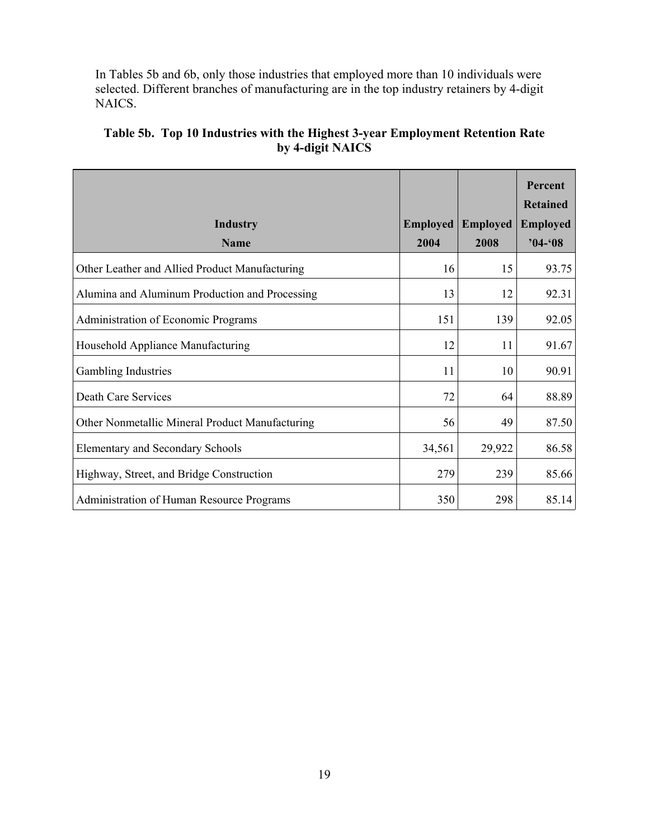In Tables 5b and 6b, only those industries that employed more than 10 individuals were selected. Different branches of manufacturing are in the top industry retainers by 4-digit NAICS.

|                                                 |                 |                 | Percent<br><b>Retained</b> |
|-------------------------------------------------|-----------------|-----------------|----------------------------|
| <b>Industry</b>                                 | <b>Employed</b> | <b>Employed</b> | <b>Employed</b>            |
| <b>Name</b>                                     | 2004            | 2008            | $04 - 08$                  |
| Other Leather and Allied Product Manufacturing  | 16              | 15              | 93.75                      |
| Alumina and Aluminum Production and Processing  | 13              | 12              | 92.31                      |
| Administration of Economic Programs             | 151             | 139             | 92.05                      |
| Household Appliance Manufacturing               | 12              | 11              | 91.67                      |
| Gambling Industries                             | 11              | 10              | 90.91                      |
| Death Care Services                             | 72              | 64              | 88.89                      |
| Other Nonmetallic Mineral Product Manufacturing | 56              | 49              | 87.50                      |
| <b>Elementary and Secondary Schools</b>         | 34,561          | 29,922          | 86.58                      |
| Highway, Street, and Bridge Construction        | 279             | 239             | 85.66                      |
| Administration of Human Resource Programs       | 350             | 298             | 85.14                      |

# **Table 5b. Top 10 Industries with the Highest 3-year Employment Retention Rate by 4-digit NAICS**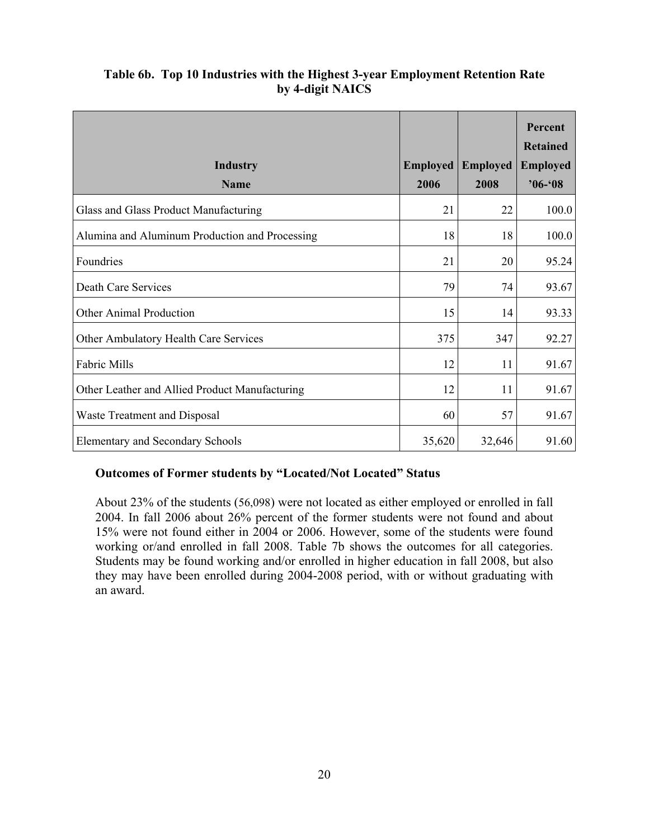| Table 6b. Top 10 Industries with the Highest 3-year Employment Retention Rate |
|-------------------------------------------------------------------------------|
| by 4-digit NAICS                                                              |

|                                                |                 |                 | Percent<br><b>Retained</b> |
|------------------------------------------------|-----------------|-----------------|----------------------------|
| <b>Industry</b>                                | <b>Employed</b> | <b>Employed</b> | <b>Employed</b>            |
| <b>Name</b>                                    | 2006            | 2008            | $96 - 08$                  |
| Glass and Glass Product Manufacturing          | 21              | 22              | 100.0                      |
| Alumina and Aluminum Production and Processing | 18              | 18              | 100.0                      |
| Foundries                                      | 21              | 20              | 95.24                      |
| <b>Death Care Services</b>                     | 79              | 74              | 93.67                      |
| <b>Other Animal Production</b>                 | 15              | 14              | 93.33                      |
| Other Ambulatory Health Care Services          | 375             | 347             | 92.27                      |
| Fabric Mills                                   | 12              | 11              | 91.67                      |
| Other Leather and Allied Product Manufacturing | 12              | 11              | 91.67                      |
| <b>Waste Treatment and Disposal</b>            | 60              | 57              | 91.67                      |
| <b>Elementary and Secondary Schools</b>        | 35,620          | 32,646          | 91.60                      |

# **Outcomes of Former students by "Located/Not Located" Status**

About 23% of the students (56,098) were not located as either employed or enrolled in fall 2004. In fall 2006 about 26% percent of the former students were not found and about 15% were not found either in 2004 or 2006. However, some of the students were found working or/and enrolled in fall 2008. Table 7b shows the outcomes for all categories. Students may be found working and/or enrolled in higher education in fall 2008, but also they may have been enrolled during 2004-2008 period, with or without graduating with an award.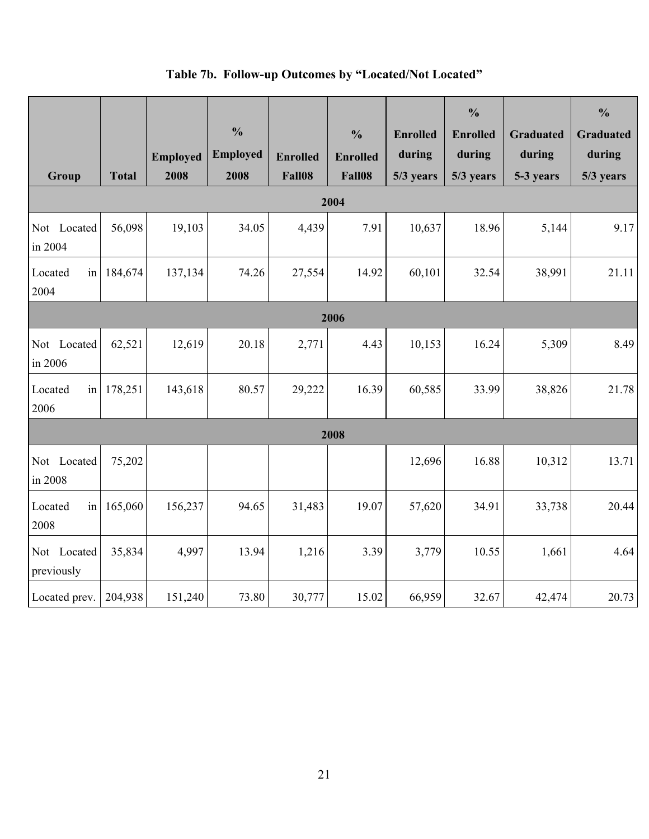| Group                     | <b>Total</b> | <b>Employed</b><br>2008 | $\frac{0}{0}$<br><b>Employed</b><br>2008 | <b>Enrolled</b><br>Fall08 | $\frac{0}{0}$<br><b>Enrolled</b><br>Fall08 | <b>Enrolled</b><br>during<br>5/3 years | $\frac{0}{0}$<br><b>Enrolled</b><br>during<br>5/3 years | <b>Graduated</b><br>during<br>5-3 years | $\frac{0}{0}$<br><b>Graduated</b><br>during<br>5/3 years |  |  |
|---------------------------|--------------|-------------------------|------------------------------------------|---------------------------|--------------------------------------------|----------------------------------------|---------------------------------------------------------|-----------------------------------------|----------------------------------------------------------|--|--|
|                           |              |                         |                                          |                           | 2004                                       |                                        |                                                         |                                         |                                                          |  |  |
| Not Located<br>in 2004    | 56,098       | 19,103                  | 34.05                                    | 4,439                     | 7.91                                       | 10,637                                 | 18.96                                                   | 5,144                                   | 9.17                                                     |  |  |
| Located<br>in<br>2004     | 184,674      | 137,134                 | 74.26                                    | 27,554                    | 14.92                                      | 60,101                                 | 32.54                                                   | 38,991                                  | 21.11                                                    |  |  |
| 2006                      |              |                         |                                          |                           |                                            |                                        |                                                         |                                         |                                                          |  |  |
| Not Located<br>in 2006    | 62,521       | 12,619                  | 20.18                                    | 2,771                     | 4.43                                       | 10,153                                 | 16.24                                                   | 5,309                                   | 8.49                                                     |  |  |
| Located<br>in<br>2006     | 178,251      | 143,618                 | 80.57                                    | 29,222                    | 16.39                                      | 60,585                                 | 33.99                                                   | 38,826                                  | 21.78                                                    |  |  |
|                           |              |                         |                                          |                           | 2008                                       |                                        |                                                         |                                         |                                                          |  |  |
| Not Located<br>in 2008    | 75,202       |                         |                                          |                           |                                            | 12,696                                 | 16.88                                                   | 10,312                                  | 13.71                                                    |  |  |
| Located<br>in<br>2008     | 165,060      | 156,237                 | 94.65                                    | 31,483                    | 19.07                                      | 57,620                                 | 34.91                                                   | 33,738                                  | 20.44                                                    |  |  |
| Not Located<br>previously | 35,834       | 4,997                   | 13.94                                    | 1,216                     | 3.39                                       | 3,779                                  | 10.55                                                   | 1,661                                   | 4.64                                                     |  |  |
| Located prev.             | 204,938      | 151,240                 | 73.80                                    | 30,777                    | 15.02                                      | 66,959                                 | 32.67                                                   | 42,474                                  | 20.73                                                    |  |  |

# **Table 7b. Follow-up Outcomes by "Located/Not Located"**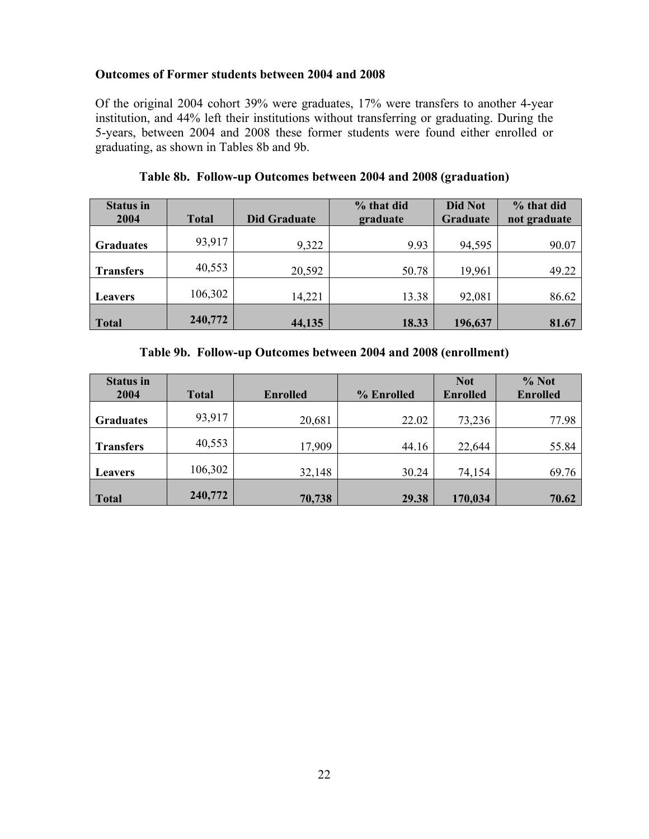#### **Outcomes of Former students between 2004 and 2008**

Of the original 2004 cohort 39% were graduates, 17% were transfers to another 4-year institution, and 44% left their institutions without transferring or graduating. During the 5-years, between 2004 and 2008 these former students were found either enrolled or graduating, as shown in Tables 8b and 9b.

| <b>Status in</b><br>2004 | <b>Total</b> | <b>Did Graduate</b> | % that did<br>graduate | <b>Did Not</b><br>Graduate | % that did<br>not graduate |
|--------------------------|--------------|---------------------|------------------------|----------------------------|----------------------------|
| <b>Graduates</b>         | 93,917       | 9,322               | 9.93                   | 94,595                     | 90.07                      |
| <b>Transfers</b>         | 40,553       | 20,592              | 50.78                  | 19,961                     | 49.22                      |
| <b>Leavers</b>           | 106,302      | 14,221              | 13.38                  | 92,081                     | 86.62                      |
| <b>Total</b>             | 240,772      | 44,135              | 18.33                  | 196,637                    | 81.67                      |

**Table 8b. Follow-up Outcomes between 2004 and 2008 (graduation)** 

**Table 9b. Follow-up Outcomes between 2004 and 2008 (enrollment)** 

| <b>Status in</b><br>2004 | <b>Total</b> | <b>Enrolled</b> | % Enrolled | <b>Not</b><br><b>Enrolled</b> | % Not<br><b>Enrolled</b> |
|--------------------------|--------------|-----------------|------------|-------------------------------|--------------------------|
| <b>Graduates</b>         | 93,917       | 20,681          | 22.02      | 73,236                        | 77.98                    |
| <b>Transfers</b>         | 40,553       | 17,909          | 44.16      | 22,644                        | 55.84                    |
| <b>Leavers</b>           | 106,302      | 32,148          | 30.24      | 74,154                        | 69.76                    |
| <b>Total</b>             | 240,772      | 70,738          | 29.38      | 170,034                       | 70.62                    |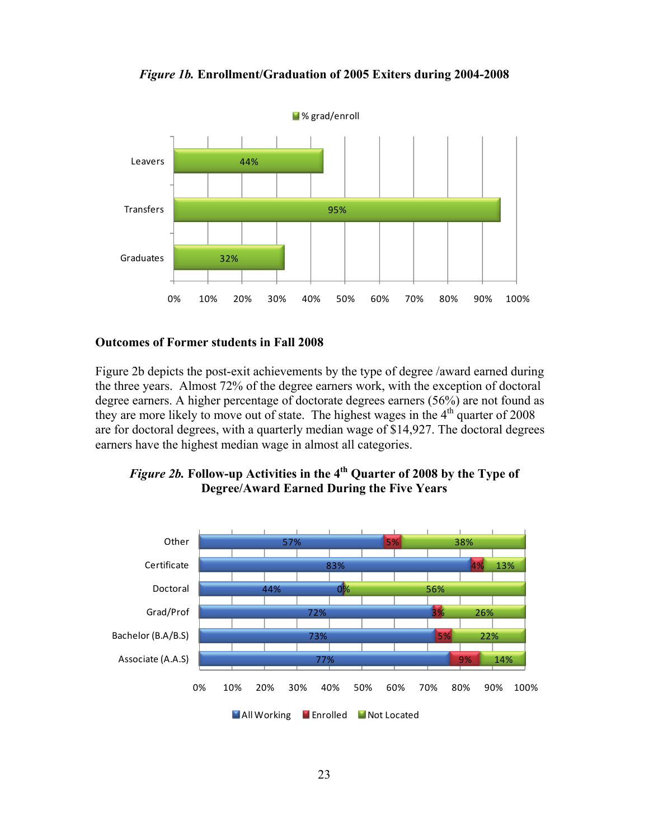



#### **Outcomes of Former students in Fall 2008**

Figure 2b depicts the post-exit achievements by the type of degree /award earned during the three years. Almost 72% of the degree earners work, with the exception of doctoral degree earners. A higher percentage of doctorate degrees earners (56%) are not found as they are more likely to move out of state. The highest wages in the  $4<sup>th</sup>$  quarter of 2008 are for doctoral degrees, with a quarterly median wage of \$14,927. The doctoral degrees earners have the highest median wage in almost all categories.



# *Figure 2b.* **Follow-up Activities in the 4th Quarter of 2008 by the Type of Degree/Award Earned During the Five Years**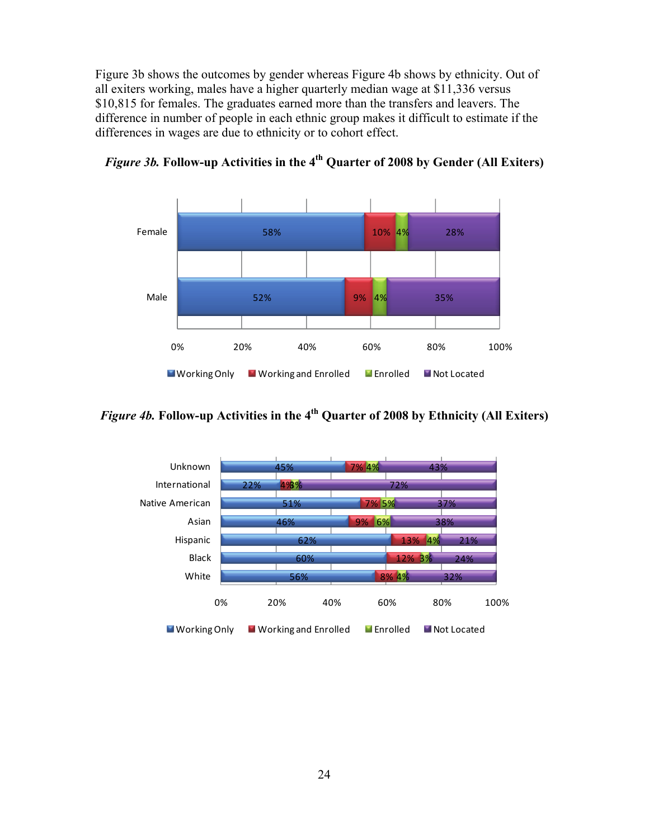Figure 3b shows the outcomes by gender whereas Figure 4b shows by ethnicity. Out of all exiters working, males have a higher quarterly median wage at \$11,336 versus \$10,815 for females. The graduates earned more than the transfers and leavers. The difference in number of people in each ethnic group makes it difficult to estimate if the differences in wages are due to ethnicity or to cohort effect.



*Figure 3b.* **Follow-up Activities in the 4th Quarter of 2008 by Gender (All Exiters)** 

*Figure 4b.* **Follow-up Activities in the 4th Quarter of 2008 by Ethnicity (All Exiters)** 

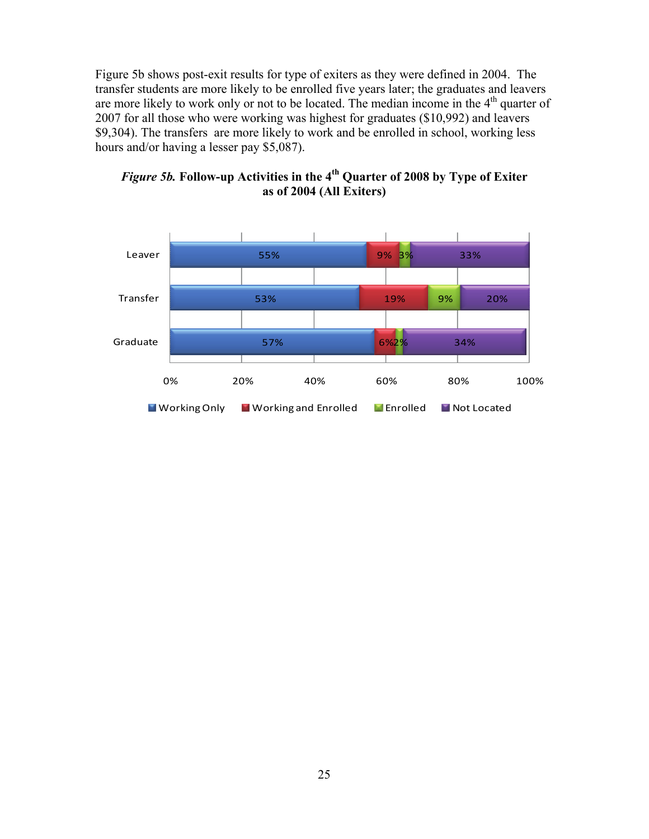Figure 5b shows post-exit results for type of exiters as they were defined in 2004. The transfer students are more likely to be enrolled five years later; the graduates and leavers are more likely to work only or not to be located. The median income in the  $4<sup>th</sup>$  quarter of 2007 for all those who were working was highest for graduates (\$10,992) and leavers \$9,304). The transfers are more likely to work and be enrolled in school, working less hours and/or having a lesser pay \$5,087).



*Figure 5b.* **Follow-up Activities in the 4th Quarter of 2008 by Type of Exiter as of 2004 (All Exiters)**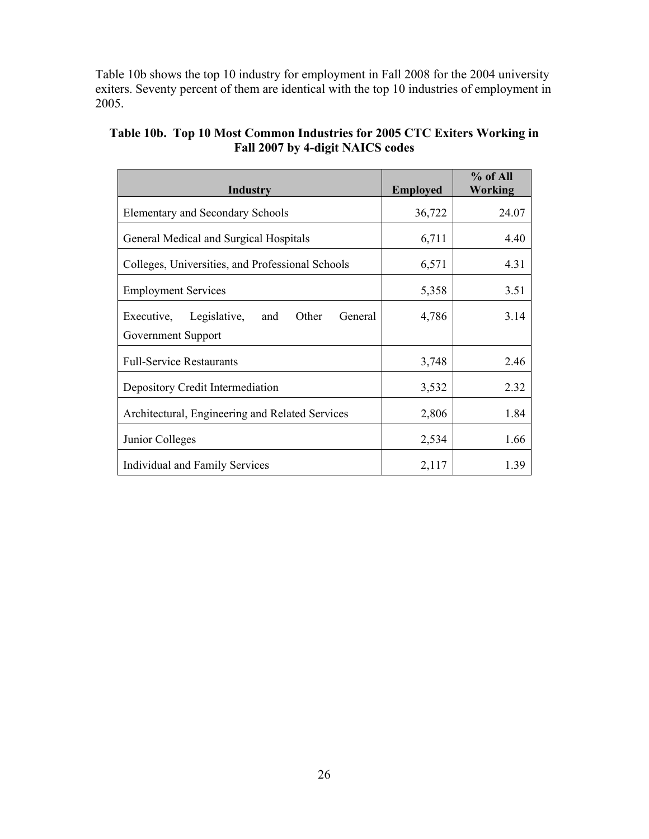Table 10b shows the top 10 industry for employment in Fall 2008 for the 2004 university exiters. Seventy percent of them are identical with the top 10 industries of employment in 2005.

| <b>Industry</b>                                       | <b>Employed</b> | % of All<br>Working |
|-------------------------------------------------------|-----------------|---------------------|
| <b>Elementary and Secondary Schools</b>               | 36,722          | 24.07               |
| General Medical and Surgical Hospitals                | 6,711           | 4.40                |
| Colleges, Universities, and Professional Schools      | 6,571           | 4.31                |
| <b>Employment Services</b>                            | 5,358           | 3.51                |
| Executive,<br>Legislative,<br>Other<br>General<br>and | 4,786           | 3.14                |
| Government Support                                    |                 |                     |
| <b>Full-Service Restaurants</b>                       | 3,748           | 2.46                |
| Depository Credit Intermediation                      | 3,532           | 2.32                |
| Architectural, Engineering and Related Services       | 2,806           | 1.84                |
| Junior Colleges                                       | 2,534           | 1.66                |
| Individual and Family Services                        | 2,117           | 1.39                |

# **Table 10b. Top 10 Most Common Industries for 2005 CTC Exiters Working in Fall 2007 by 4-digit NAICS codes**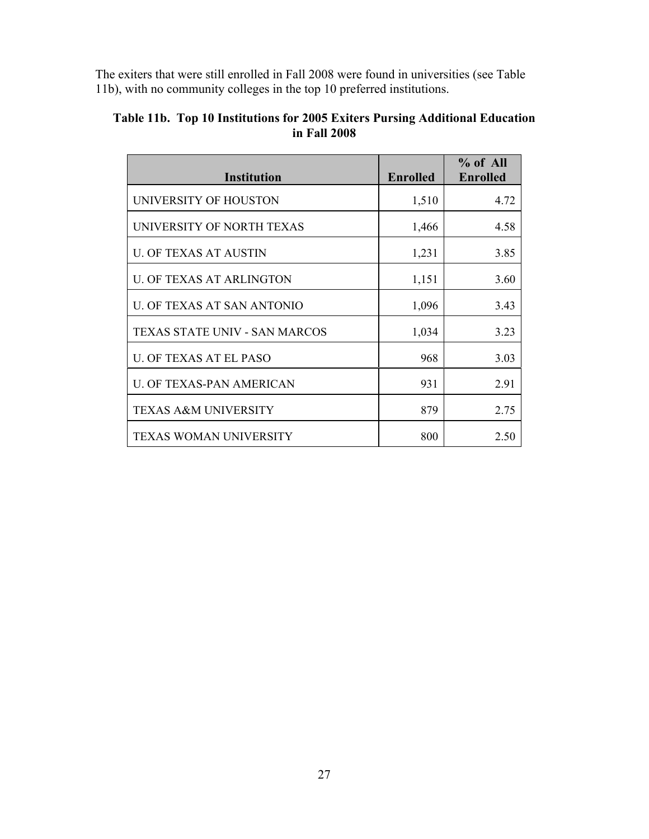The exiters that were still enrolled in Fall 2008 were found in universities (see Table 11b), with no community colleges in the top 10 preferred institutions.

| <b>Institution</b>                   | <b>Enrolled</b> | $%$ of All<br><b>Enrolled</b> |
|--------------------------------------|-----------------|-------------------------------|
| UNIVERSITY OF HOUSTON                | 1,510           | 4.72                          |
| UNIVERSITY OF NORTH TEXAS            | 1,466           | 4.58                          |
| U. OF TEXAS AT AUSTIN                | 1,231           | 3.85                          |
| <b>U. OF TEXAS AT ARLINGTON</b>      | 1,151           | 3.60                          |
| U. OF TEXAS AT SAN ANTONIO           | 1,096           | 3.43                          |
| <b>TEXAS STATE UNIV - SAN MARCOS</b> | 1,034           | 3.23                          |
| <b>U. OF TEXAS AT EL PASO</b>        | 968             | 3.03                          |
| U. OF TEXAS-PAN AMERICAN             | 931             | 2.91                          |
| <b>TEXAS A&amp;M UNIVERSITY</b>      | 879             | 2.75                          |
| <b>TEXAS WOMAN UNIVERSITY</b>        | 800             | 2.50                          |

# **Table 11b. Top 10 Institutions for 2005 Exiters Pursing Additional Education in Fall 2008**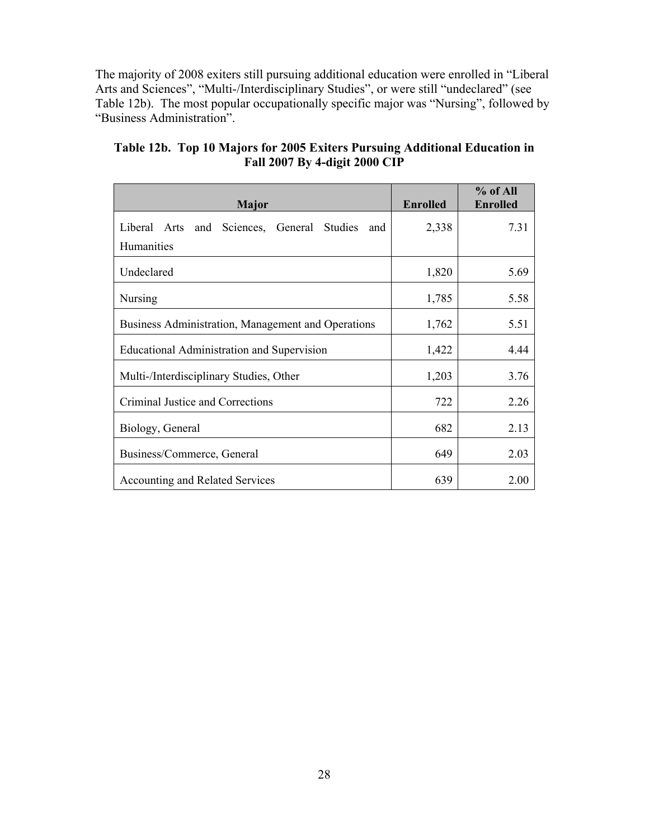The majority of 2008 exiters still pursuing additional education were enrolled in "Liberal Arts and Sciences", "Multi-/Interdisciplinary Studies", or were still "undeclared" (see Table 12b). The most popular occupationally specific major was "Nursing", followed by "Business Administration".

| <b>Major</b>                                            | <b>Enrolled</b> | % of All<br><b>Enrolled</b> |
|---------------------------------------------------------|-----------------|-----------------------------|
| Sciences, General Studies<br>Liberal Arts<br>and<br>and | 2,338           | 7.31                        |
| <b>Humanities</b>                                       |                 |                             |
| Undeclared                                              | 1,820           | 5.69                        |
| Nursing                                                 | 1,785           | 5.58                        |
| Business Administration, Management and Operations      | 1,762           | 5.51                        |
| Educational Administration and Supervision              | 1,422           | 4.44                        |
| Multi-/Interdisciplinary Studies, Other                 | 1,203           | 3.76                        |
| Criminal Justice and Corrections                        | 722             | 2.26                        |
| Biology, General                                        | 682             | 2.13                        |
| Business/Commerce, General                              | 649             | 2.03                        |
| <b>Accounting and Related Services</b>                  | 639             | 2.00                        |

**Table 12b. Top 10 Majors for 2005 Exiters Pursuing Additional Education in Fall 2007 By 4-digit 2000 CIP**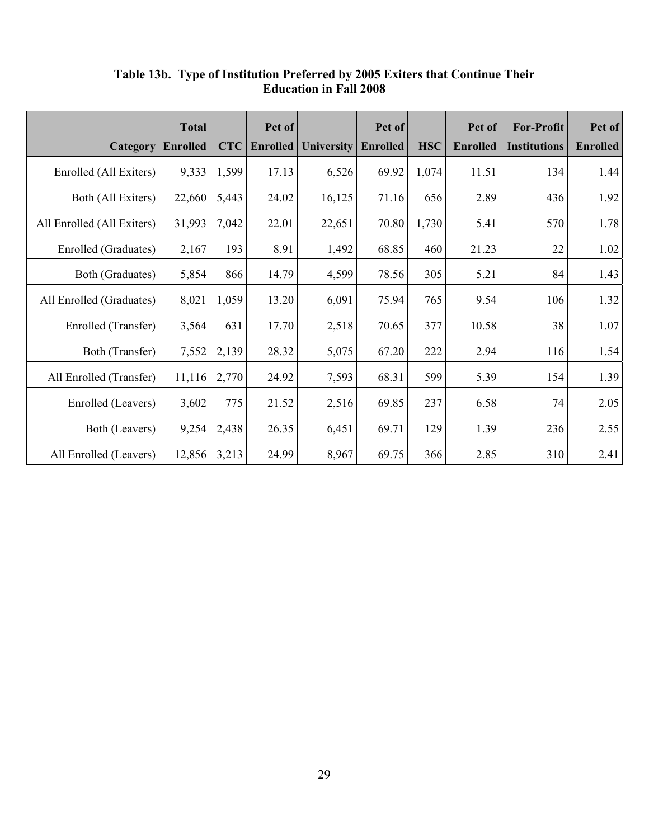|                            | <b>Total</b>    |            | Pct of          |                   | Pct of          |            | Pct of          | <b>For-Profit</b>   | Pct of          |
|----------------------------|-----------------|------------|-----------------|-------------------|-----------------|------------|-----------------|---------------------|-----------------|
| Category                   | <b>Enrolled</b> | <b>CTC</b> | <b>Enrolled</b> | <b>University</b> | <b>Enrolled</b> | <b>HSC</b> | <b>Enrolled</b> | <b>Institutions</b> | <b>Enrolled</b> |
| Enrolled (All Exiters)     | 9,333           | 1,599      | 17.13           | 6,526             | 69.92           | 1,074      | 11.51           | 134                 | 1.44            |
| Both (All Exiters)         | 22,660          | 5,443      | 24.02           | 16,125            | 71.16           | 656        | 2.89            | 436                 | 1.92            |
| All Enrolled (All Exiters) | 31,993          | 7,042      | 22.01           | 22,651            | 70.80           | 1,730      | 5.41            | 570                 | 1.78            |
| Enrolled (Graduates)       | 2,167           | 193        | 8.91            | 1,492             | 68.85           | 460        | 21.23           | 22                  | 1.02            |
| Both (Graduates)           | 5,854           | 866        | 14.79           | 4,599             | 78.56           | 305        | 5.21            | 84                  | 1.43            |
| All Enrolled (Graduates)   | 8,021           | 1,059      | 13.20           | 6,091             | 75.94           | 765        | 9.54            | 106                 | 1.32            |
| Enrolled (Transfer)        | 3,564           | 631        | 17.70           | 2,518             | 70.65           | 377        | 10.58           | 38                  | 1.07            |
| Both (Transfer)            | 7,552           | 2,139      | 28.32           | 5,075             | 67.20           | 222        | 2.94            | 116                 | 1.54            |
| All Enrolled (Transfer)    | 11,116          | 2,770      | 24.92           | 7,593             | 68.31           | 599        | 5.39            | 154                 | 1.39            |
| Enrolled (Leavers)         | 3,602           | 775        | 21.52           | 2,516             | 69.85           | 237        | 6.58            | 74                  | 2.05            |
| Both (Leavers)             | 9,254           | 2,438      | 26.35           | 6,451             | 69.71           | 129        | 1.39            | 236                 | 2.55            |
| All Enrolled (Leavers)     | 12,856          | 3,213      | 24.99           | 8,967             | 69.75           | 366        | 2.85            | 310                 | 2.41            |

**Table 13b. Type of Institution Preferred by 2005 Exiters that Continue Their Education in Fall 2008**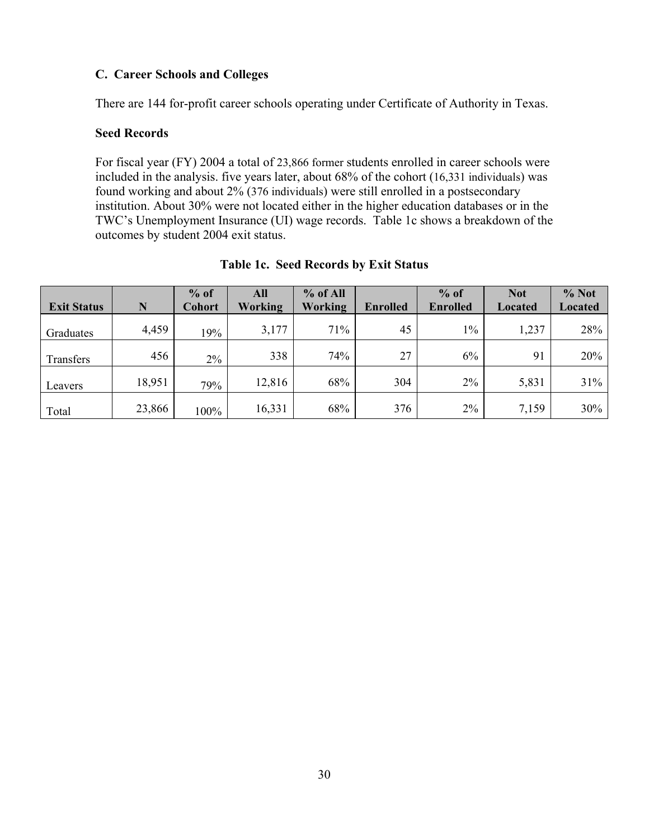# **C. Career Schools and Colleges**

There are 144 for-profit career schools operating under Certificate of Authority in Texas.

# **Seed Records**

For fiscal year (FY) 2004 a total of 23,866 former students enrolled in career schools were included in the analysis. five years later, about 68% of the cohort (16,331 individuals) was found working and about 2% (376 individuals) were still enrolled in a postsecondary institution. About 30% were not located either in the higher education databases or in the TWC's Unemployment Insurance (UI) wage records. Table 1c shows a breakdown of the outcomes by student 2004 exit status.

|                    |        | $%$ of        | All     | $%$ of All |                 | $%$ of          | <b>Not</b>     | $%$ Not        |
|--------------------|--------|---------------|---------|------------|-----------------|-----------------|----------------|----------------|
| <b>Exit Status</b> | N      | <b>Cohort</b> | Working | Working    | <b>Enrolled</b> | <b>Enrolled</b> | <b>Located</b> | <b>Located</b> |
| Graduates          | 4,459  | 19%           | 3,177   | 71%        | 45              | $1\%$           | 1,237          | 28%            |
| Transfers          | 456    | $2\%$         | 338     | 74%        | 27              | 6%              | 91             | 20%            |
| Leavers            | 18,951 | 79%           | 12,816  | 68%        | 304             | $2\%$           | 5,831          | 31%            |
| Total              | 23,866 | 100%          | 16,331  | 68%        | 376             | 2%              | 7,159          | 30%            |

### **Table 1c. Seed Records by Exit Status**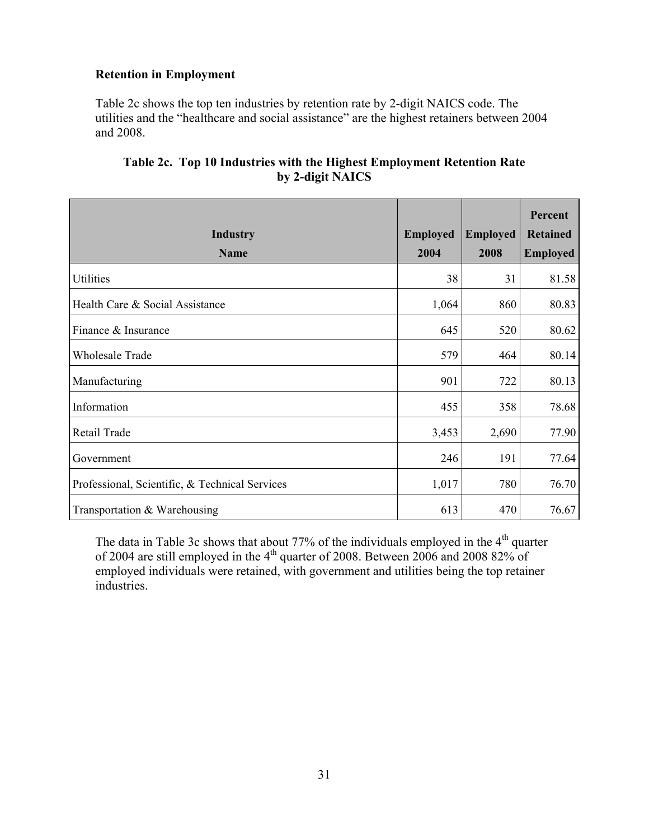# **Retention in Employment**

Table 2c shows the top ten industries by retention rate by 2-digit NAICS code. The utilities and the "healthcare and social assistance" are the highest retainers between 2004 and 2008.

|                                                |                 |                 | Percent         |
|------------------------------------------------|-----------------|-----------------|-----------------|
| <b>Industry</b>                                | <b>Employed</b> | <b>Employed</b> | <b>Retained</b> |
| <b>Name</b>                                    | 2004            | 2008            | <b>Employed</b> |
| Utilities                                      | 38              | 31              | 81.58           |
| Health Care & Social Assistance                | 1,064           | 860             | 80.83           |
| Finance & Insurance                            | 645             | 520             | 80.62           |
| <b>Wholesale Trade</b>                         | 579             | 464             | 80.14           |
| Manufacturing                                  | 901             | 722             | 80.13           |
| Information                                    | 455             | 358             | 78.68           |
| Retail Trade                                   | 3,453           | 2,690           | 77.90           |
| Government                                     | 246             | 191             | 77.64           |
| Professional, Scientific, & Technical Services | 1,017           | 780             | 76.70           |
| Transportation & Warehousing                   | 613             | 470             | 76.67           |

# **Table 2c. Top 10 Industries with the Highest Employment Retention Rate by 2-digit NAICS**

The data in Table 3c shows that about 77% of the individuals employed in the  $4<sup>th</sup>$  quarter of 2004 are still employed in the 4<sup>th</sup> quarter of 2008. Between 2006 and 2008 82% of employed individuals were retained, with government and utilities being the top retainer industries.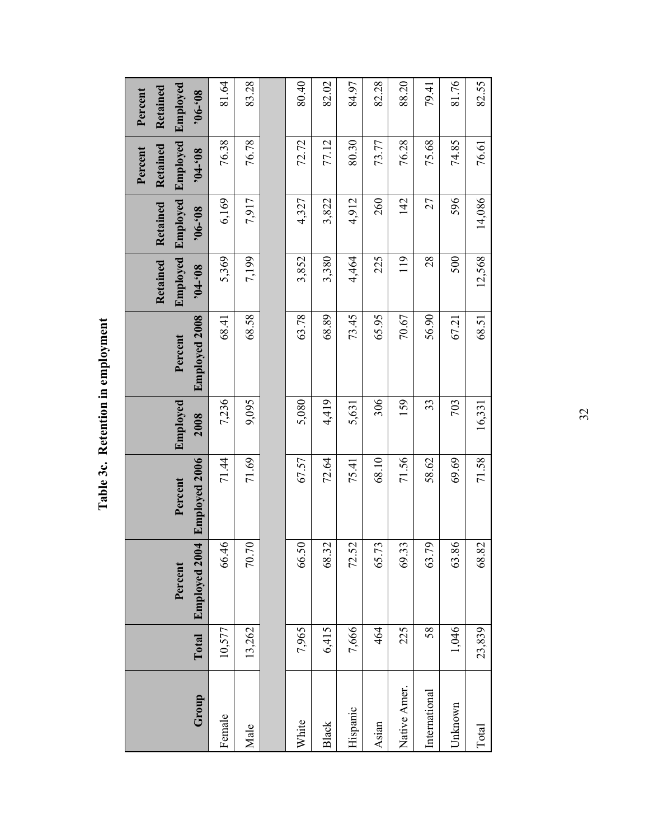| Group         | Total  | Employed 2004<br>Percent | <b>Employed 2006</b><br>Percent | Employed<br>2008 | <b>Employed 2008</b><br>Percent | Employed<br>Retained<br>$80,-10$ | <b>Employed</b><br>Retained<br>$80,-90.$ | Employed<br>Retained<br>Percent<br>$80, -10.$ | Employed<br>Retained<br>Percent<br>$80,-90.$ |
|---------------|--------|--------------------------|---------------------------------|------------------|---------------------------------|----------------------------------|------------------------------------------|-----------------------------------------------|----------------------------------------------|
| Female        | 10,577 | 66.46                    | 71.44                           | 7,236            | 68.41                           | 5,369                            | 6,169                                    | 76.38                                         | 81.64                                        |
| Male          | 13,262 | 70.70                    | 71.69                           | 9,095            | 68.58                           | 7,199                            | 7,917                                    | 76.78                                         | 83.28                                        |
|               |        |                          |                                 |                  |                                 |                                  |                                          |                                               |                                              |
| White         | 7,965  | 66.50                    | 67.57                           | 5,080            | 63.78                           | 3,852                            | 4,327                                    | 72.72                                         | 80.40                                        |
| <b>Black</b>  | 6,415  | 68.32                    | 72.64                           | 4,419            | 68.89                           | 3,380                            | 3,822                                    | 77.12                                         | 82.02                                        |
| Hispanic      | 7,666  | 72.52                    | 75.41                           | 5,631            | 73.45                           | 4,464                            | 4,912                                    | 80.30                                         | 84.97                                        |
| Asian         | 464    | 73<br>65.                | 68.10                           | 306              | 65.95                           | 225                              | 260                                      | 73.77                                         | 82.28                                        |
| Native Amer.  | 225    | 69.33                    | 71.56                           | 159              | 70.67                           | 119                              | 142                                      | 76.28                                         | 88.20                                        |
| International | 58     | 63.79                    | 58.62                           | 33               | 56.90                           | 28                               | 27                                       | 75.68                                         | 79.41                                        |
| Unknown       | 1,046  | 63.86                    | 69.69                           | 703              | 67.21                           | 500                              | 596                                      | 74.85                                         | 81.76                                        |

82.55

76.61

14,086

12,568

68.51

Table 3c. Retention in employment **Table 3c. Retention in employment** 

32

Total 23,839 68.82 71.58 16,331 68.51 12,568 14,086 76.61 82.55

16,331

71.58

68.82

23,839

Total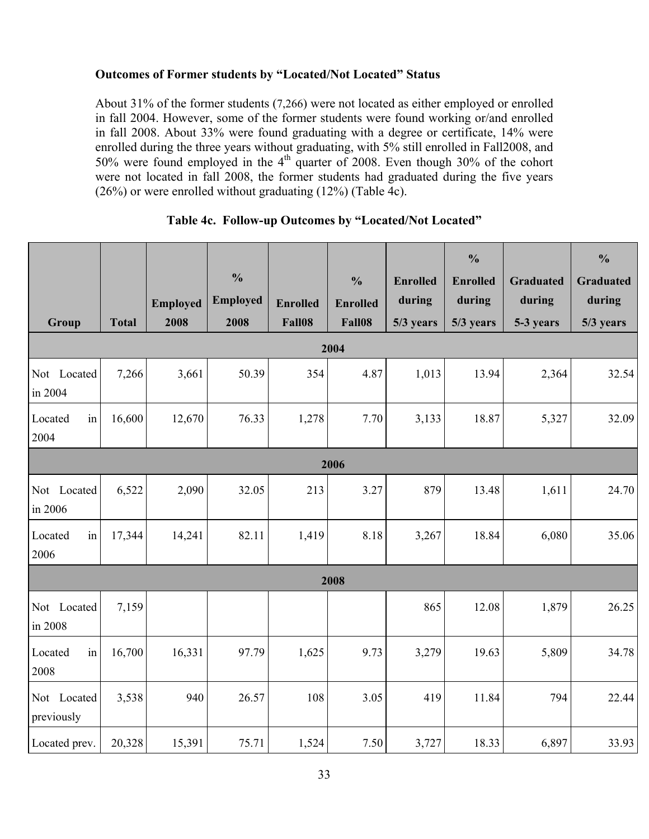# **Outcomes of Former students by "Located/Not Located" Status**

About 31% of the former students (7,266) were not located as either employed or enrolled in fall 2004. However, some of the former students were found working or/and enrolled in fall 2008. About 33% were found graduating with a degree or certificate, 14% were enrolled during the three years without graduating, with 5% still enrolled in Fall2008, and 50% were found employed in the  $4<sup>th</sup>$  quarter of 2008. Even though 30% of the cohort were not located in fall 2008, the former students had graduated during the five years (26%) or were enrolled without graduating (12%) (Table 4c).

| Group                     | <b>Total</b> | <b>Employed</b><br>2008 | $\frac{0}{0}$<br><b>Employed</b><br>2008 | <b>Enrolled</b><br>Fall08 | $\frac{0}{0}$<br><b>Enrolled</b><br>Fall08 | <b>Enrolled</b><br>during<br>5/3 years | $\frac{0}{0}$<br><b>Enrolled</b><br>during<br>5/3 years | <b>Graduated</b><br>during<br>5-3 years | $\frac{0}{0}$<br><b>Graduated</b><br>during<br>5/3 years |
|---------------------------|--------------|-------------------------|------------------------------------------|---------------------------|--------------------------------------------|----------------------------------------|---------------------------------------------------------|-----------------------------------------|----------------------------------------------------------|
|                           |              |                         |                                          |                           | 2004                                       |                                        |                                                         |                                         |                                                          |
| Not Located<br>in 2004    | 7,266        | 3,661                   | 50.39                                    | 354                       | 4.87                                       | 1,013                                  | 13.94                                                   | 2,364                                   | 32.54                                                    |
| Located<br>in<br>2004     | 16,600       | 12,670                  | 76.33                                    | 1,278                     | 7.70                                       | 3,133                                  | 18.87                                                   | 5,327                                   | 32.09                                                    |
|                           |              |                         |                                          |                           | 2006                                       |                                        |                                                         |                                         |                                                          |
| Not Located<br>in 2006    | 6,522        | 2,090                   | 32.05                                    | 213                       | 3.27                                       | 879                                    | 13.48                                                   | 1,611                                   | 24.70                                                    |
| Located<br>in<br>2006     | 17,344       | 14,241                  | 82.11                                    | 1,419                     | 8.18                                       | 3,267                                  | 18.84                                                   | 6,080                                   | 35.06                                                    |
|                           |              |                         |                                          |                           | 2008                                       |                                        |                                                         |                                         |                                                          |
| Not Located<br>in 2008    | 7,159        |                         |                                          |                           |                                            | 865                                    | 12.08                                                   | 1,879                                   | 26.25                                                    |
| Located<br>in<br>2008     | 16,700       | 16,331                  | 97.79                                    | 1,625                     | 9.73                                       | 3,279                                  | 19.63                                                   | 5,809                                   | 34.78                                                    |
| Not Located<br>previously | 3,538        | 940                     | 26.57                                    | 108                       | 3.05                                       | 419                                    | 11.84                                                   | 794                                     | 22.44                                                    |
| Located prev.             | 20,328       | 15,391                  | 75.71                                    | 1,524                     | 7.50                                       | 3,727                                  | 18.33                                                   | 6,897                                   | 33.93                                                    |

# **Table 4c. Follow-up Outcomes by "Located/Not Located"**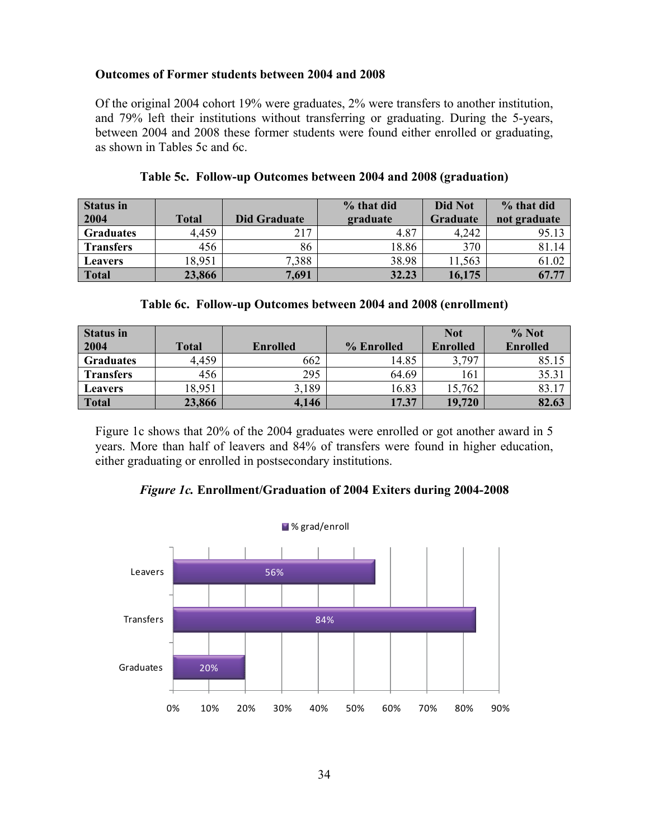#### **Outcomes of Former students between 2004 and 2008**

Of the original 2004 cohort 19% were graduates, 2% were transfers to another institution, and 79% left their institutions without transferring or graduating. During the 5-years, between 2004 and 2008 these former students were found either enrolled or graduating, as shown in Tables 5c and 6c.

| Status in<br>2004 | Total  | Did Graduate | % that did<br>graduate | <b>Did Not</b><br><b>Graduate</b> | % that did<br>not graduate |
|-------------------|--------|--------------|------------------------|-----------------------------------|----------------------------|
| <b>Graduates</b>  | 4,459  | 217          | 4.87                   | 4,242                             | 95.13                      |
| <b>Transfers</b>  | 456    | 86           | 18.86                  | 370                               | 81.14                      |
| <b>Leavers</b>    | 18,951 | 7.388        | 38.98                  | 11,563                            | 61.02                      |
| <b>Total</b>      | 23,866 | 7,691        | 32.23                  | 16,175                            | 67.77                      |

|  | Table 5c. Follow-up Outcomes between 2004 and 2008 (graduation) |  |  |  |
|--|-----------------------------------------------------------------|--|--|--|
|--|-----------------------------------------------------------------|--|--|--|

#### **Table 6c. Follow-up Outcomes between 2004 and 2008 (enrollment)**

| <b>Status in</b> |              |                 |            | <b>Not</b>      | % Not           |
|------------------|--------------|-----------------|------------|-----------------|-----------------|
| 2004             | <b>Total</b> | <b>Enrolled</b> | % Enrolled | <b>Enrolled</b> | <b>Enrolled</b> |
| <b>Graduates</b> | 4,459        | 662             | 14.85      | 3,797           | 85.15           |
| <b>Transfers</b> | 456          | 295             | 64.69      | 161             | 35.31           |
| <b>Leavers</b>   | 18,951       | 3,189           | 16.83      | 15,762          | 83.17           |
| <b>Total</b>     | 23,866       | 4,146           | 17.37      | 19,720          | 82.63           |

Figure 1c shows that 20% of the 2004 graduates were enrolled or got another award in 5 years. More than half of leavers and 84% of transfers were found in higher education, either graduating or enrolled in postsecondary institutions.

#### *Figure 1c.* **Enrollment/Graduation of 2004 Exiters during 2004-2008**

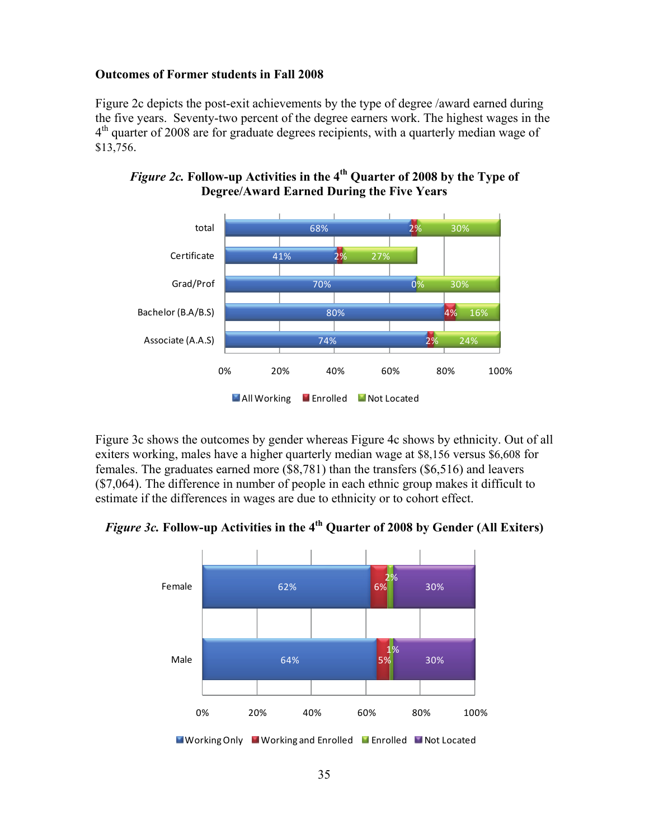# **Outcomes of Former students in Fall 2008**

Figure 2c depicts the post-exit achievements by the type of degree /award earned during the five years. Seventy-two percent of the degree earners work. The highest wages in the  $4<sup>th</sup>$  quarter of 2008 are for graduate degrees recipients, with a quarterly median wage of \$13,756.



*Figure 2c.* **Follow-up Activities in the 4th Quarter of 2008 by the Type of Degree/Award Earned During the Five Years** 

Figure 3c shows the outcomes by gender whereas Figure 4c shows by ethnicity. Out of all exiters working, males have a higher quarterly median wage at \$8,156 versus \$6,608 for females. The graduates earned more (\$8,781) than the transfers (\$6,516) and leavers (\$7,064). The difference in number of people in each ethnic group makes it difficult to estimate if the differences in wages are due to ethnicity or to cohort effect.

*Figure 3c.* **Follow-up Activities in the 4th Quarter of 2008 by Gender (All Exiters)** 

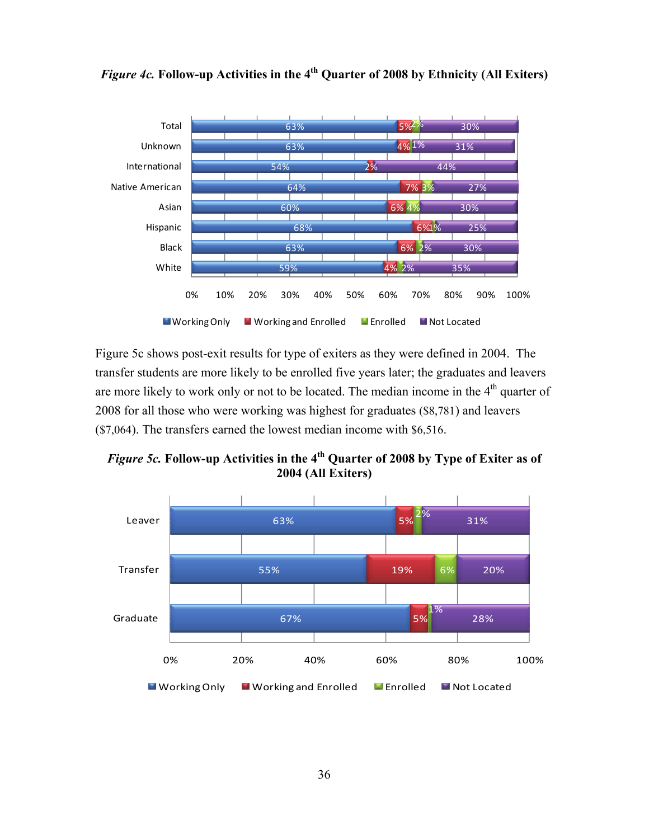

# *Figure 4c.* **Follow-up Activities in the 4th Quarter of 2008 by Ethnicity (All Exiters)**

Figure 5c shows post-exit results for type of exiters as they were defined in 2004. The transfer students are more likely to be enrolled five years later; the graduates and leavers are more likely to work only or not to be located. The median income in the  $4<sup>th</sup>$  quarter of 2008 for all those who were working was highest for graduates (\$8,781) and leavers (\$7,064). The transfers earned the lowest median income with \$6,516.

*Figure 5c.* **Follow-up Activities in the 4th Quarter of 2008 by Type of Exiter as of 2004 (All Exiters)** 

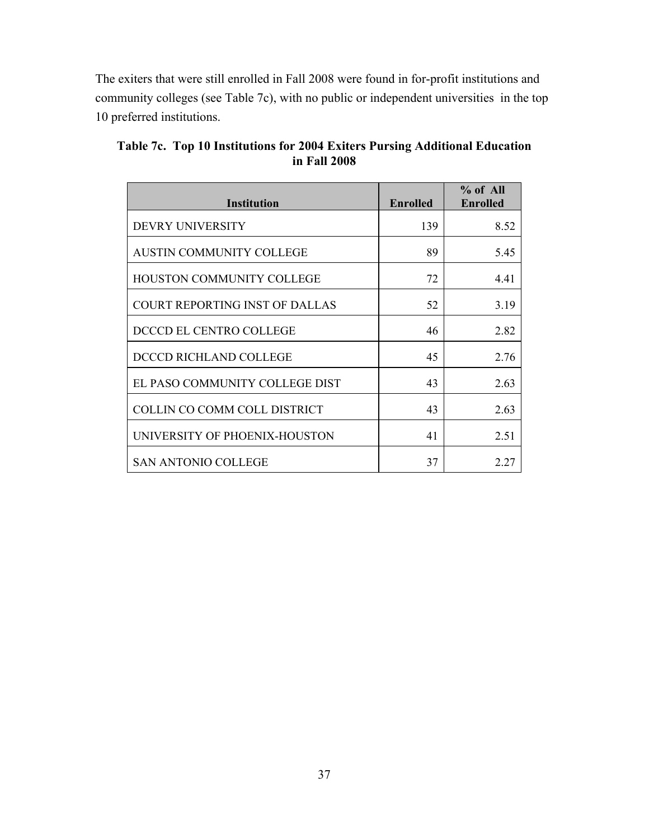T he exiters that were still enrolled in Fall 2008 were found in for-profit institutions and ommunity colleges (see Table 7c), with no public or independent universities in the top c 10 preferred institutions.

| <b>Institution</b>                    | <b>Enrolled</b> | $%$ of All<br>Enrolled |
|---------------------------------------|-----------------|------------------------|
| <b>DEVRY UNIVERSITY</b>               | 139             | 8.52                   |
| AUSTIN COMMUNITY COLLEGE              | 89              | 5.45                   |
| HOUSTON COMMUNITY COLLEGE             | 72              | 4.41                   |
| <b>COURT REPORTING INST OF DALLAS</b> | 52              | 3.19                   |
| DCCCD EL CENTRO COLLEGE               | 46              | 2.82                   |
| DCCCD RICHLAND COLLEGE                | 45              | 2.76                   |
| EL PASO COMMUNITY COLLEGE DIST        | 43              | 2.63                   |
| COLLIN CO COMM COLL DISTRICT          | 43              | 2.63                   |
| UNIVERSITY OF PHOENIX-HOUSTON         | 41              | 2.51                   |
| <b>SAN ANTONIO COLLEGE</b>            | 37              | 2 27                   |

**Table 7c. Top 10 Institutions for 2004 Exiters Pursing Additional Education in Fall 2008**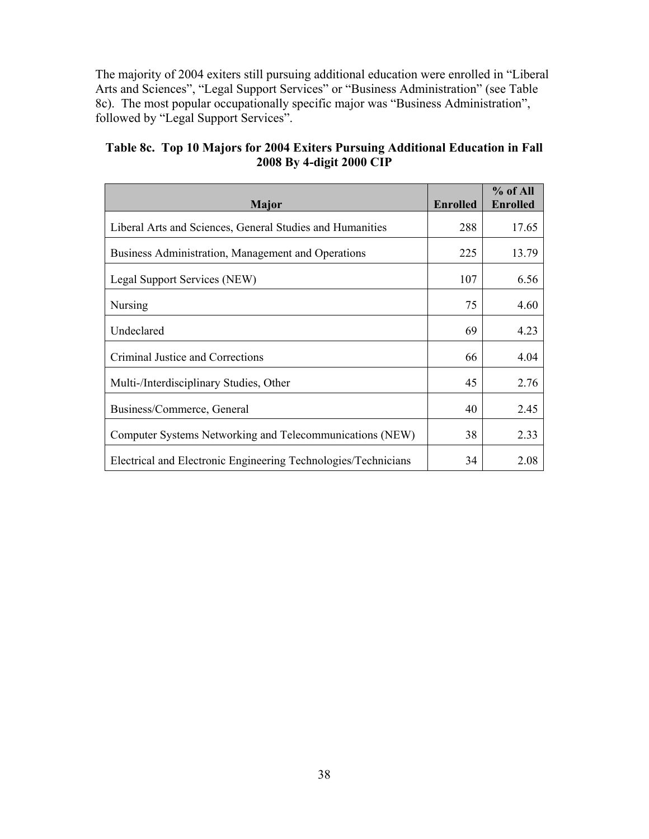The majority of 2004 exiters still pursuing additional education were enrolled in "Libera l Arts and Sciences", "Legal Support Services" or "Business Administration" (see Table 8c). The most popular occupationally specific major was "Business Administration", followed by "Legal Support Services".

| Major                                                          | <b>Enrolled</b> | $%$ of All<br><b>Enrolled</b> |
|----------------------------------------------------------------|-----------------|-------------------------------|
| Liberal Arts and Sciences, General Studies and Humanities      | 288             | 17.65                         |
| Business Administration, Management and Operations             | 225             | 13.79                         |
| Legal Support Services (NEW)                                   | 107             | 6.56                          |
| <b>Nursing</b>                                                 | 75              | 4.60                          |
| Undeclared                                                     | 69              | 4.23                          |
| Criminal Justice and Corrections                               | 66              | 4.04                          |
| Multi-/Interdisciplinary Studies, Other                        | 45              | 2.76                          |
| Business/Commerce, General                                     | 40              | 2.45                          |
| Computer Systems Networking and Telecommunications (NEW)       | 38              | 2.33                          |
| Electrical and Electronic Engineering Technologies/Technicians | 34              | 2.08                          |

# **T able 8c. Top 10 Majors for 2004 Exiters Pursuing Additional Education in Fall 2008 By 4-digit 2000 CIP**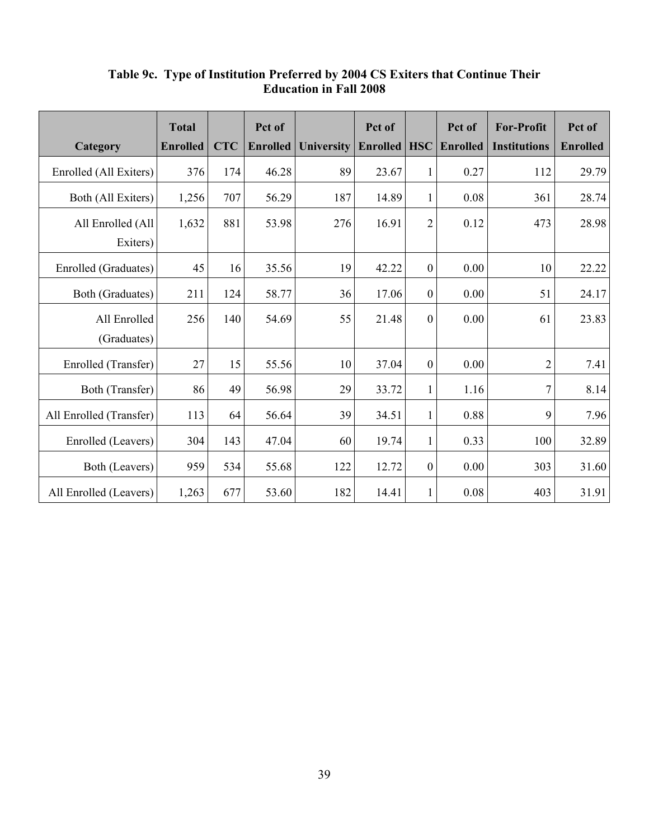|                         | <b>Total</b>    |            | Pct of          |                   | Pct of   |                | Pct of          | <b>For-Profit</b>   | Pct of          |
|-------------------------|-----------------|------------|-----------------|-------------------|----------|----------------|-----------------|---------------------|-----------------|
| Category                | <b>Enrolled</b> | <b>CTC</b> | <b>Enrolled</b> | <b>University</b> | Enrolled | <b>HSC</b>     | <b>Enrolled</b> | <b>Institutions</b> | <b>Enrolled</b> |
| Enrolled (All Exiters)  | 376             | 174        | 46.28           | 89                | 23.67    | 1              | 0.27            | 112                 | 29.79           |
| Both (All Exiters)      | 1,256           | 707        | 56.29           | 187               | 14.89    | 1              | 0.08            | 361                 | 28.74           |
| All Enrolled (All       | 1,632           | 881        | 53.98           | 276               | 16.91    | $\overline{2}$ | 0.12            | 473                 | 28.98           |
| Exiters)                |                 |            |                 |                   |          |                |                 |                     |                 |
| Enrolled (Graduates)    | 45              | 16         | 35.56           | 19                | 42.22    | $\mathbf{0}$   | 0.00            | 10                  | 22.22           |
| Both (Graduates)        | 211             | 124        | 58.77           | 36                | 17.06    | $\mathbf{0}$   | 0.00            | 51                  | 24.17           |
| All Enrolled            | 256             | 140        | 54.69           | 55                | 21.48    | $\mathbf{0}$   | 0.00            | 61                  | 23.83           |
| (Graduates)             |                 |            |                 |                   |          |                |                 |                     |                 |
| Enrolled (Transfer)     | 27              | 15         | 55.56           | 10                | 37.04    | $\theta$       | 0.00            | $\overline{2}$      | 7.41            |
| Both (Transfer)         | 86              | 49         | 56.98           | 29                | 33.72    | 1              | 1.16            | $\overline{7}$      | 8.14            |
| All Enrolled (Transfer) | 113             | 64         | 56.64           | 39                | 34.51    | 1              | 0.88            | 9                   | 7.96            |
| Enrolled (Leavers)      | 304             | 143        | 47.04           | 60                | 19.74    | 1              | 0.33            | 100                 | 32.89           |
| Both (Leavers)          | 959             | 534        | 55.68           | 122               | 12.72    | $\mathbf{0}$   | 0.00            | 303                 | 31.60           |
| All Enrolled (Leavers)  | 1,263           | 677        | 53.60           | 182               | 14.41    | 1              | 0.08            | 403                 | 31.91           |

#### **Table 9c. Type of Institution Preferred by 2004 CS Exiters that Continue Their Education in Fall 2008**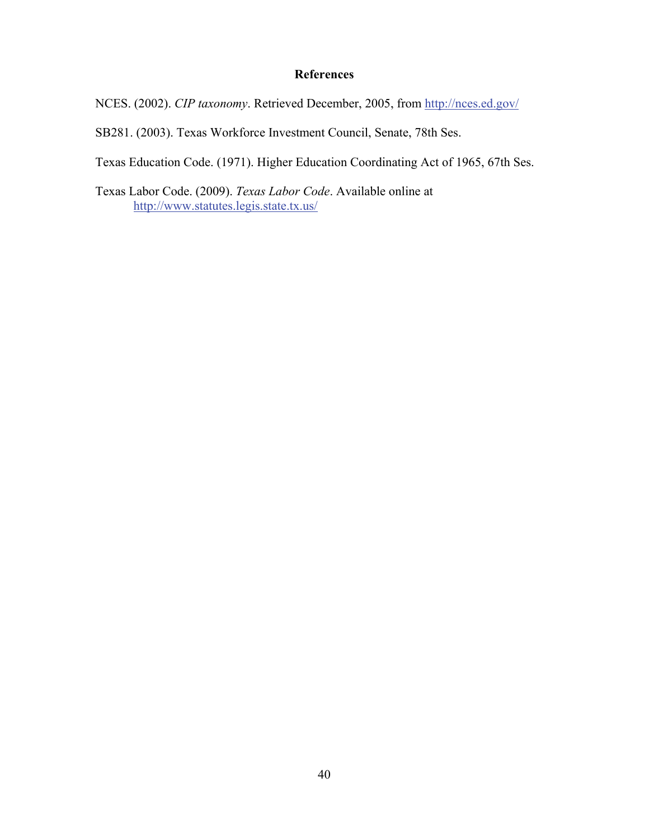#### **References**

NCES. (2002). *CIP taxonomy*. Retrieved December, 2005, from http://nces.ed.gov/

SB281. (2003). Texas Workforce Investment Council, Senate, 78th Ses.

Texas Education Code. (1971). Higher Education Coordinating Act of 1965, 67th Ses.

Texas Labor Code. (2009). *Texas Labor Code*. Available online at http://www.statutes.legis.state.tx.us/